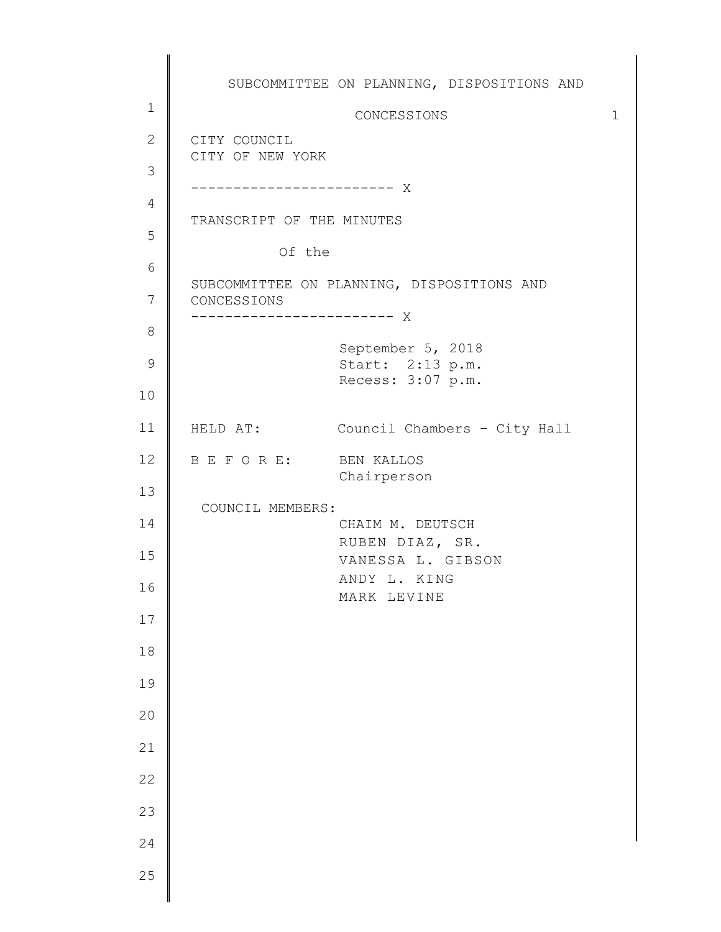1 2 3 4 5 6 7 8 9 10 11 12 13 14 15 16 17 18 19 20 21 22 23 24 25 SUBCOMMITTEE ON PLANNING, DISPOSITIONS AND CONCESSIONS 1 CITY COUNCIL CITY OF NEW YORK ------------------------ X TRANSCRIPT OF THE MINUTES Of the SUBCOMMITTEE ON PLANNING, DISPOSITIONS AND CONCESSIONS ------------------------ X September 5, 2018 Start: 2:13 p.m. Recess: 3:07 p.m. HELD AT: Council Chambers – City Hall B E F O R E: BEN KALLOS Chairperson COUNCIL MEMBERS: CHAIM M. DEUTSCH RUBEN DIAZ, SR. VANESSA L. GIBSON ANDY L. KING MARK LEVINE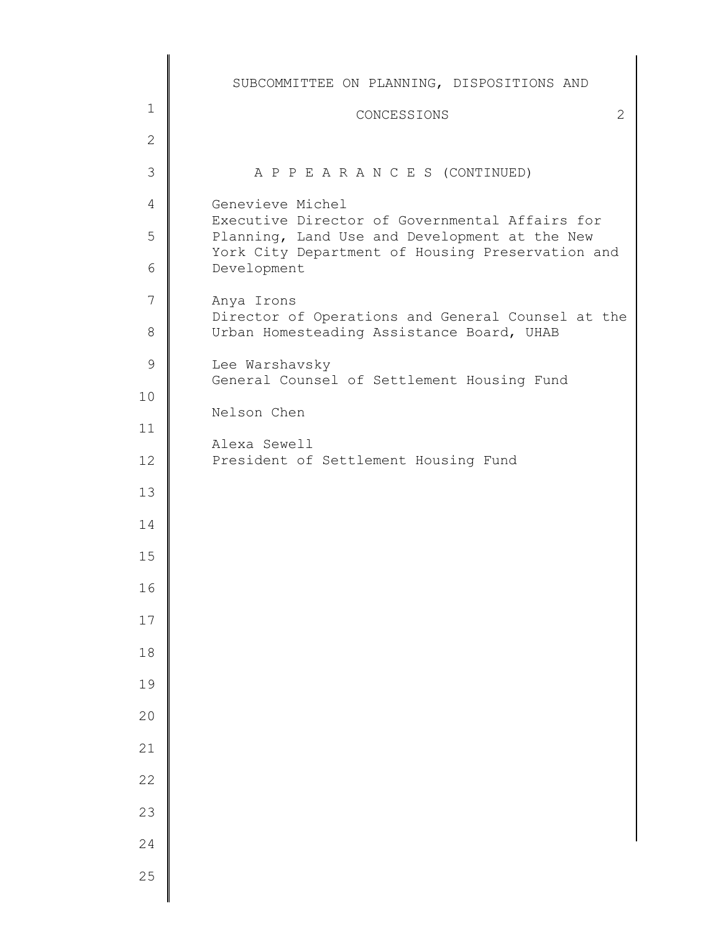|               | SUBCOMMITTEE ON PLANNING, DISPOSITIONS AND                                                      |
|---------------|-------------------------------------------------------------------------------------------------|
| $\mathbf{1}$  | CONCESSIONS<br>2                                                                                |
| $\mathbf{2}$  |                                                                                                 |
| 3             | A P P E A R A N C E S (CONTINUED)                                                               |
| 4             | Genevieve Michel                                                                                |
| 5             | Executive Director of Governmental Affairs for<br>Planning, Land Use and Development at the New |
| 6             | York City Department of Housing Preservation and<br>Development                                 |
| 7             | Anya Irons                                                                                      |
| 8             | Director of Operations and General Counsel at the<br>Urban Homesteading Assistance Board, UHAB  |
| $\mathcal{G}$ | Lee Warshavsky<br>General Counsel of Settlement Housing Fund                                    |
| 10            | Nelson Chen                                                                                     |
| 11            |                                                                                                 |
| 12            | Alexa Sewell<br>President of Settlement Housing Fund                                            |
| 13            |                                                                                                 |
| 14            |                                                                                                 |
| 15            |                                                                                                 |
| 16            |                                                                                                 |
| $17$          |                                                                                                 |
| 18            |                                                                                                 |
| 19            |                                                                                                 |
| 20            |                                                                                                 |
| 21            |                                                                                                 |
| 22            |                                                                                                 |
| 23            |                                                                                                 |
| 24            |                                                                                                 |
| 25            |                                                                                                 |
|               |                                                                                                 |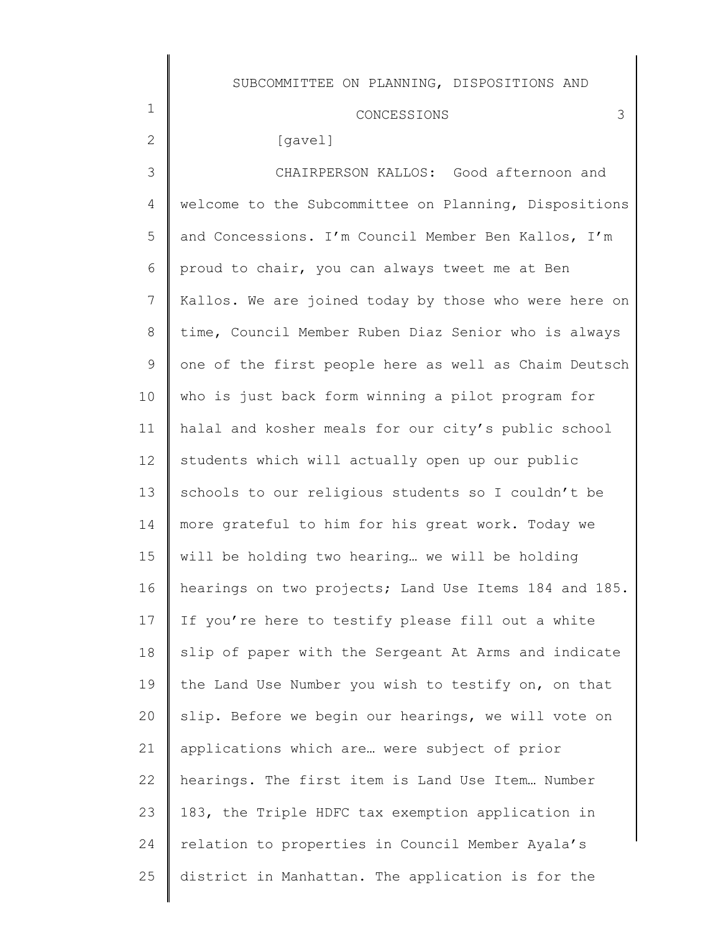# CONCESSIONS 3

# [gavel]

1

2

3 4 5 6 7 8 9 10 11 12 13 14 15 16 17 18 19 20 21 22 23 24 25 CHAIRPERSON KALLOS: Good afternoon and welcome to the Subcommittee on Planning, Dispositions and Concessions. I'm Council Member Ben Kallos, I'm proud to chair, you can always tweet me at Ben Kallos. We are joined today by those who were here on time, Council Member Ruben Diaz Senior who is always one of the first people here as well as Chaim Deutsch who is just back form winning a pilot program for halal and kosher meals for our city's public school students which will actually open up our public schools to our religious students so I couldn't be more grateful to him for his great work. Today we will be holding two hearing… we will be holding hearings on two projects; Land Use Items 184 and 185. If you're here to testify please fill out a white slip of paper with the Sergeant At Arms and indicate the Land Use Number you wish to testify on, on that slip. Before we begin our hearings, we will vote on applications which are… were subject of prior hearings. The first item is Land Use Item… Number 183, the Triple HDFC tax exemption application in relation to properties in Council Member Ayala's district in Manhattan. The application is for the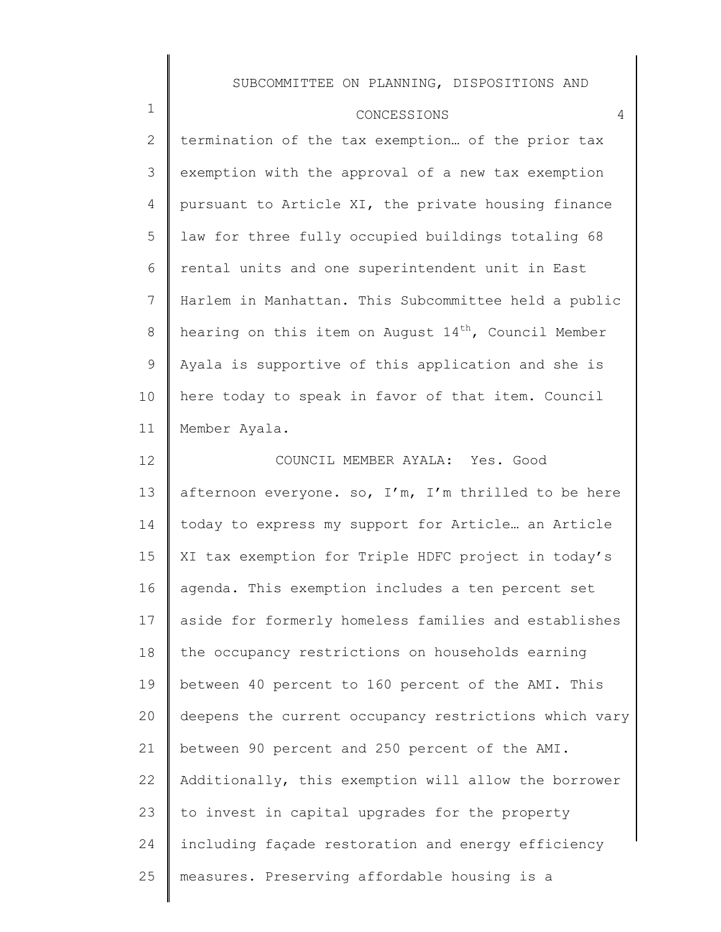1

2 3 4 5 6 7 8 9 10 11 12 termination of the tax exemption… of the prior tax exemption with the approval of a new tax exemption pursuant to Article XI, the private housing finance law for three fully occupied buildings totaling 68 rental units and one superintendent unit in East Harlem in Manhattan. This Subcommittee held a public hearing on this item on August  $14<sup>th</sup>$ , Council Member Ayala is supportive of this application and she is here today to speak in favor of that item. Council Member Ayala. COUNCIL MEMBER AYALA: Yes. Good

13 14 15 16 17 18 19 20 21 22 23 24 25 afternoon everyone. so,  $I'm$ ,  $I'm$  thrilled to be here today to express my support for Article… an Article XI tax exemption for Triple HDFC project in today's agenda. This exemption includes a ten percent set aside for formerly homeless families and establishes the occupancy restrictions on households earning between 40 percent to 160 percent of the AMI. This deepens the current occupancy restrictions which vary between 90 percent and 250 percent of the AMI. Additionally, this exemption will allow the borrower to invest in capital upgrades for the property including façade restoration and energy efficiency measures. Preserving affordable housing is a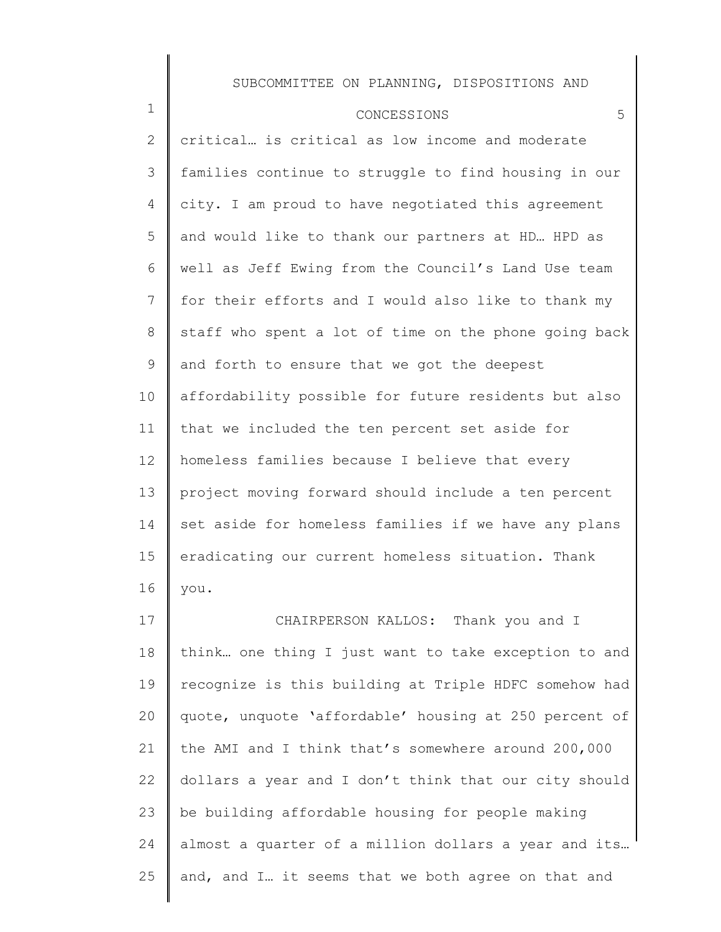#### CONCESSIONS 5

1

2 3 4 5 6 7 8 9 10 11 12 13 14 15 16 17 18 19 critical… is critical as low income and moderate families continue to struggle to find housing in our city. I am proud to have negotiated this agreement and would like to thank our partners at HD… HPD as well as Jeff Ewing from the Council's Land Use team for their efforts and I would also like to thank my staff who spent a lot of time on the phone going back and forth to ensure that we got the deepest affordability possible for future residents but also that we included the ten percent set aside for homeless families because I believe that every project moving forward should include a ten percent set aside for homeless families if we have any plans eradicating our current homeless situation. Thank you. CHAIRPERSON KALLOS: Thank you and I think… one thing I just want to take exception to and recognize is this building at Triple HDFC somehow had

20 21 22 23 24 25 quote, unquote 'affordable' housing at 250 percent of the AMI and I think that's somewhere around 200,000 dollars a year and I don't think that our city should be building affordable housing for people making almost a quarter of a million dollars a year and its… and, and I… it seems that we both agree on that and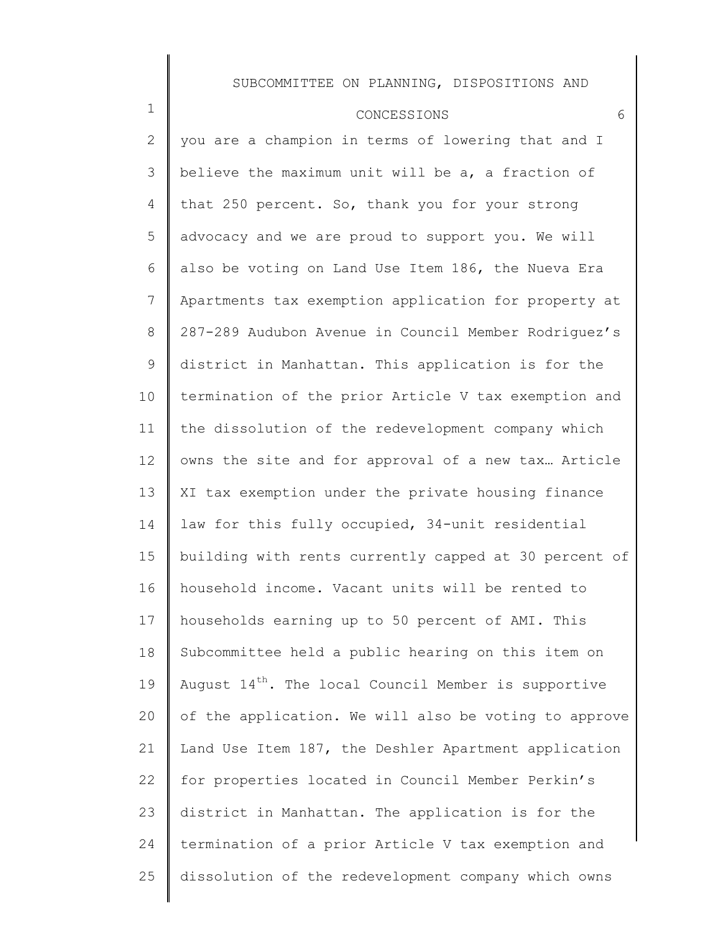| CONCESSIONS |  |
|-------------|--|
|-------------|--|

1

2 3 4 5 6 7 8 9 10 11 12 13 14 15 16 17 18 19 20 21 22 23 24 25 you are a champion in terms of lowering that and I believe the maximum unit will be a, a fraction of that 250 percent. So, thank you for your strong advocacy and we are proud to support you. We will also be voting on Land Use Item 186, the Nueva Era Apartments tax exemption application for property at 287-289 Audubon Avenue in Council Member Rodriguez's district in Manhattan. This application is for the termination of the prior Article V tax exemption and the dissolution of the redevelopment company which owns the site and for approval of a new tax… Article XI tax exemption under the private housing finance law for this fully occupied, 34-unit residential building with rents currently capped at 30 percent of household income. Vacant units will be rented to households earning up to 50 percent of AMI. This Subcommittee held a public hearing on this item on August  $14<sup>th</sup>$ . The local Council Member is supportive of the application. We will also be voting to approve Land Use Item 187, the Deshler Apartment application for properties located in Council Member Perkin's district in Manhattan. The application is for the termination of a prior Article V tax exemption and dissolution of the redevelopment company which owns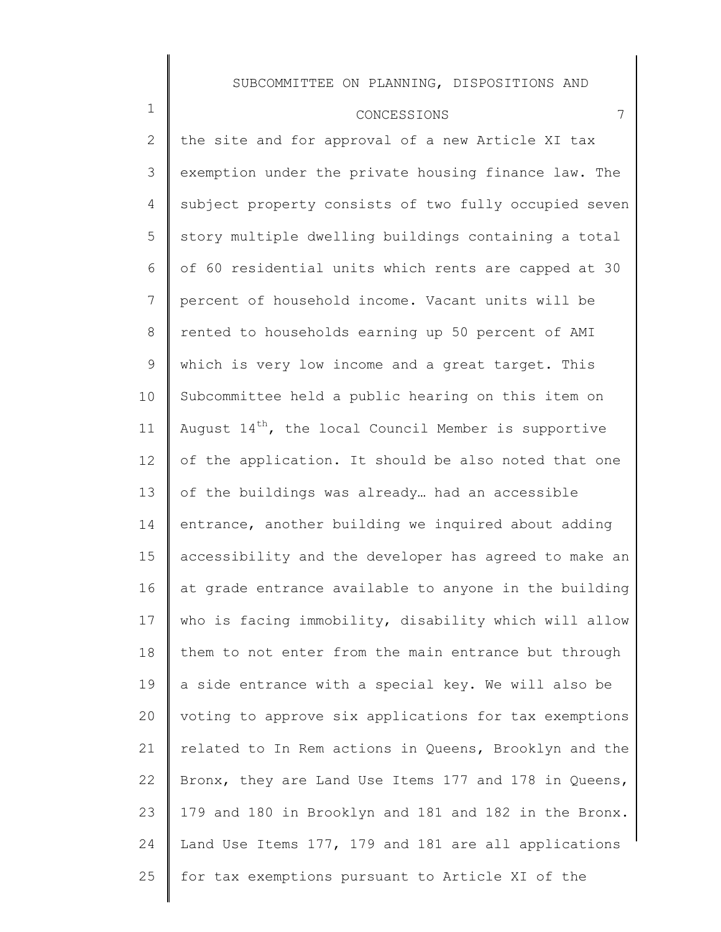#### CONCESSIONS 7

1

2

3

4

5

6

7

8

9

10

11

12

13

14

15

16

17

18

19

20

21

22

23

24

25

the site and for approval of a new Article XI tax exemption under the private housing finance law. The subject property consists of two fully occupied seven story multiple dwelling buildings containing a total of 60 residential units which rents are capped at 30 percent of household income. Vacant units will be rented to households earning up 50 percent of AMI which is very low income and a great target. This Subcommittee held a public hearing on this item on August  $14^{th}$ , the local Council Member is supportive of the application. It should be also noted that one of the buildings was already… had an accessible entrance, another building we inquired about adding accessibility and the developer has agreed to make an at grade entrance available to anyone in the building who is facing immobility, disability which will allow them to not enter from the main entrance but through a side entrance with a special key. We will also be voting to approve six applications for tax exemptions related to In Rem actions in Queens, Brooklyn and the Bronx, they are Land Use Items 177 and 178 in Queens, 179 and 180 in Brooklyn and 181 and 182 in the Bronx. Land Use Items 177, 179 and 181 are all applications

for tax exemptions pursuant to Article XI of the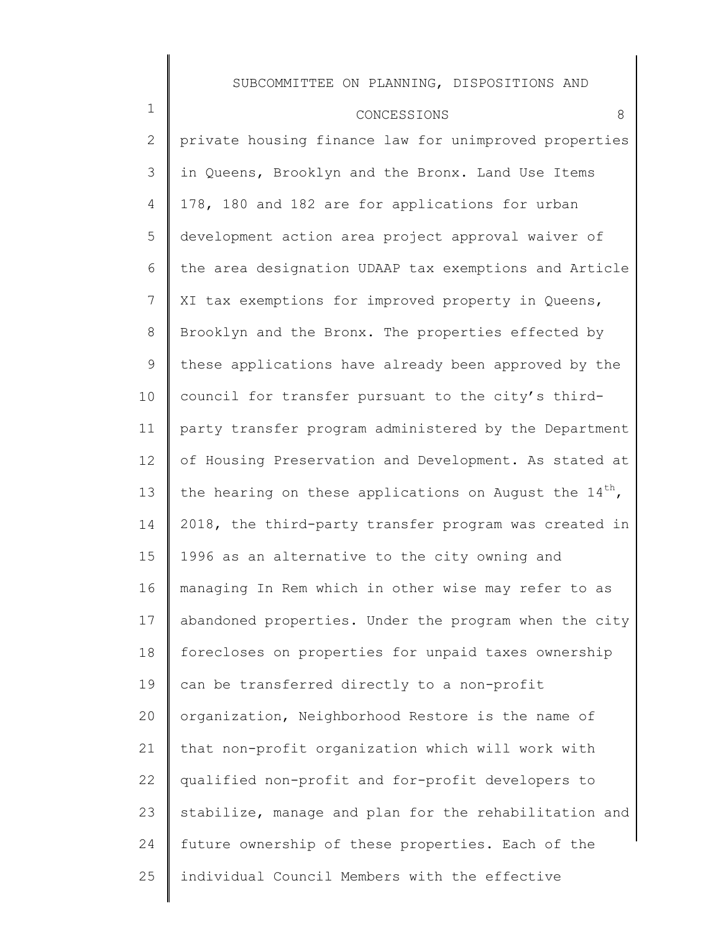| $\mathbf 1$  | 8<br>CONCESSIONS                                            |
|--------------|-------------------------------------------------------------|
| $\mathbf{2}$ | private housing finance law for unimproved properties       |
| 3            | in Queens, Brooklyn and the Bronx. Land Use Items           |
| 4            | 178, 180 and 182 are for applications for urban             |
| 5            | development action area project approval waiver of          |
| 6            | the area designation UDAAP tax exemptions and Article       |
| 7            | XI tax exemptions for improved property in Queens,          |
| 8            | Brooklyn and the Bronx. The properties effected by          |
| 9            | these applications have already been approved by the        |
| 10           | council for transfer pursuant to the city's third-          |
| 11           | party transfer program administered by the Department       |
| 12           | of Housing Preservation and Development. As stated at       |
| 13           | the hearing on these applications on August the $14^{th}$ , |
| 14           | 2018, the third-party transfer program was created in       |
| 15           | 1996 as an alternative to the city owning and               |
| 16           | managing In Rem which in other wise may refer to as         |
| 17           | abandoned properties. Under the program when the city       |
| 18           | forecloses on properties for unpaid taxes ownership         |
| 19           | can be transferred directly to a non-profit                 |
| 20           | organization, Neighborhood Restore is the name of           |
| 21           | that non-profit organization which will work with           |
| 22           | qualified non-profit and for-profit developers to           |
| 23           | stabilize, manage and plan for the rehabilitation and       |
| 24           | future ownership of these properties. Each of the           |
| 25           | individual Council Members with the effective               |
|              |                                                             |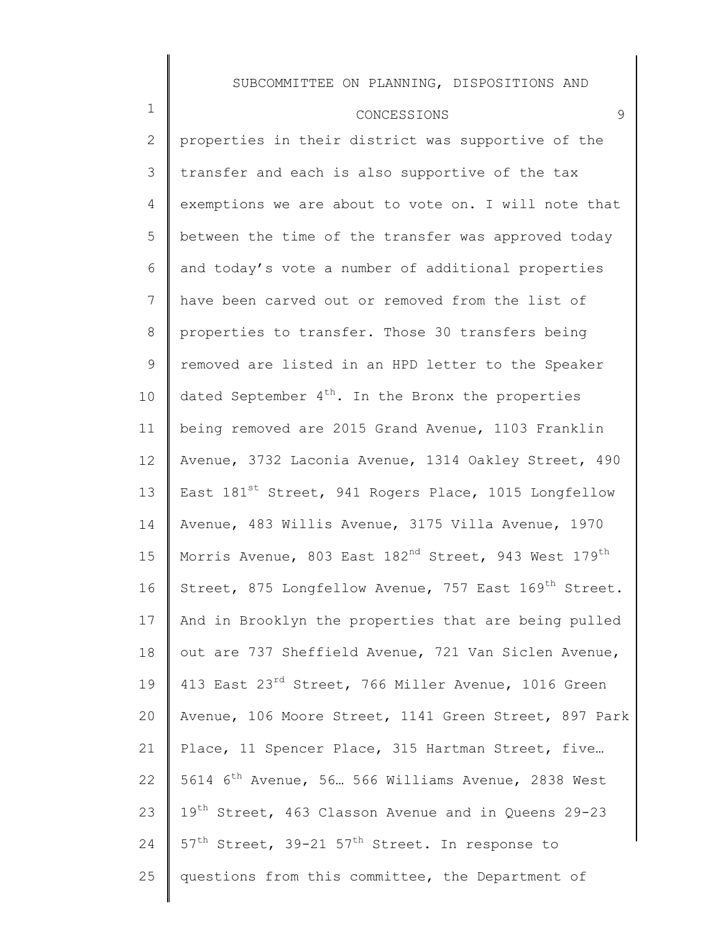### CONCESSIONS 9

1

2 3 4 5 6 7 8 9 10 11 12 13 14 15 16 17 18 19 20 21 22 23 24 25 properties in their district was supportive of the transfer and each is also supportive of the tax exemptions we are about to vote on. I will note that between the time of the transfer was approved today and today's vote a number of additional properties have been carved out or removed from the list of properties to transfer. Those 30 transfers being removed are listed in an HPD letter to the Speaker dated September  $4<sup>th</sup>$ . In the Bronx the properties being removed are 2015 Grand Avenue, 1103 Franklin Avenue, 3732 Laconia Avenue, 1314 Oakley Street, 490 East 181<sup>st</sup> Street, 941 Rogers Place, 1015 Longfellow Avenue, 483 Willis Avenue, 3175 Villa Avenue, 1970 Morris Avenue, 803 East 182<sup>nd</sup> Street, 943 West 179<sup>th</sup> Street, 875 Longfellow Avenue, 757 East 169<sup>th</sup> Street. And in Brooklyn the properties that are being pulled out are 737 Sheffield Avenue, 721 Van Siclen Avenue, 413 East 23<sup>rd</sup> Street, 766 Miller Avenue, 1016 Green Avenue, 106 Moore Street, 1141 Green Street, 897 Park Place, 11 Spencer Place, 315 Hartman Street, five… 5614 6th Avenue, 56… 566 Williams Avenue, 2838 West 19<sup>th</sup> Street, 463 Classon Avenue and in Queens 29-23  $57<sup>th</sup>$  Street, 39-21  $57<sup>th</sup>$  Street. In response to questions from this committee, the Department of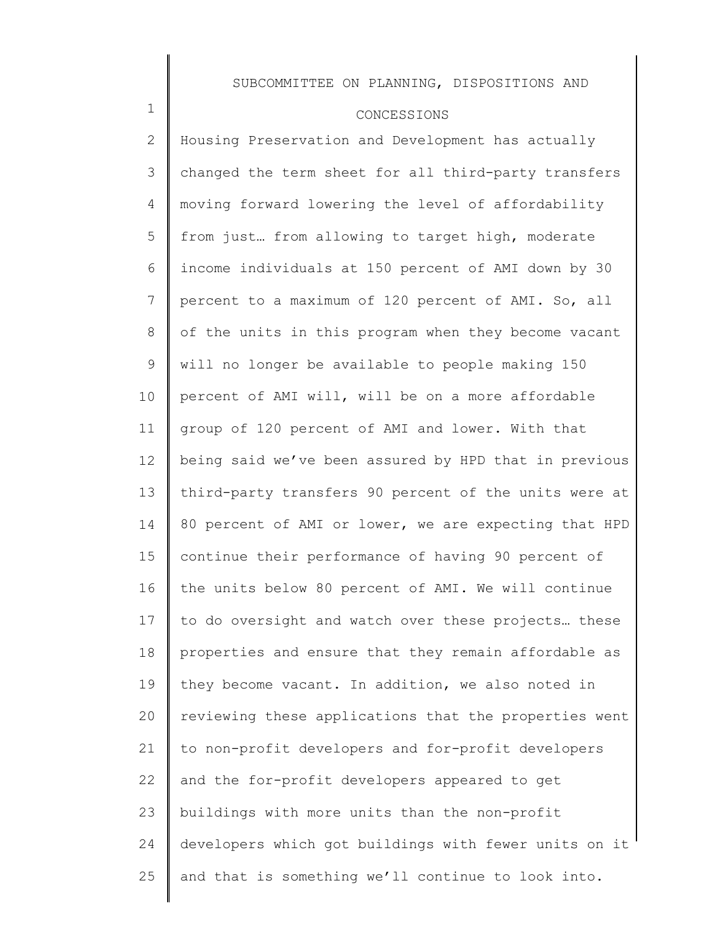### CONCESSIONS

1

2 3 4 5 6 7 8 9 10 11 12 13 14 15 16 17 18 19 20 21 22 23 24 25 Housing Preservation and Development has actually changed the term sheet for all third-party transfers moving forward lowering the level of affordability from just… from allowing to target high, moderate income individuals at 150 percent of AMI down by 30 percent to a maximum of 120 percent of AMI. So, all of the units in this program when they become vacant will no longer be available to people making 150 percent of AMI will, will be on a more affordable group of 120 percent of AMI and lower. With that being said we've been assured by HPD that in previous third-party transfers 90 percent of the units were at 80 percent of AMI or lower, we are expecting that HPD continue their performance of having 90 percent of the units below 80 percent of AMI. We will continue to do oversight and watch over these projects… these properties and ensure that they remain affordable as they become vacant. In addition, we also noted in reviewing these applications that the properties went to non-profit developers and for-profit developers and the for-profit developers appeared to get buildings with more units than the non-profit developers which got buildings with fewer units on it and that is something we'll continue to look into.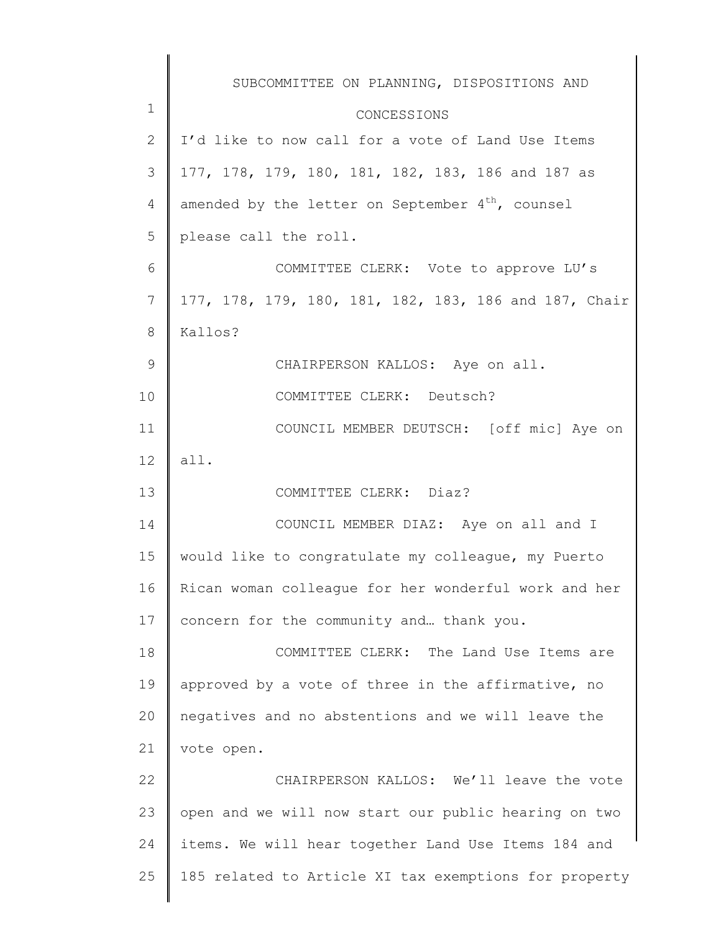|                 | SUBCOMMITTEE ON PLANNING, DISPOSITIONS AND            |
|-----------------|-------------------------------------------------------|
| 1               | CONCESSIONS                                           |
| $\mathbf{2}$    | I'd like to now call for a vote of Land Use Items     |
| 3               | 177, 178, 179, 180, 181, 182, 183, 186 and 187 as     |
| 4               | amended by the letter on September $4^{th}$ , counsel |
| 5               | please call the roll.                                 |
| 6               | COMMITTEE CLERK: Vote to approve LU's                 |
| 7               | 177, 178, 179, 180, 181, 182, 183, 186 and 187, Chair |
| 8               | Kallos?                                               |
| $\mathcal{G}$   | CHAIRPERSON KALLOS: Aye on all.                       |
| 10              | COMMITTEE CLERK: Deutsch?                             |
| 11              | COUNCIL MEMBER DEUTSCH: [off mic] Aye on              |
| 12              | all.                                                  |
| 13              | COMMITTEE CLERK: Diaz?                                |
| 14              | COUNCIL MEMBER DIAZ: Aye on all and I                 |
| 15 <sub>2</sub> | would like to congratulate my colleague, my Puerto    |
| 16              | Rican woman colleague for her wonderful work and her  |
| 17              | concern for the community and thank you.              |
| 18              | COMMITTEE CLERK: The Land Use Items are               |
| 19              | approved by a vote of three in the affirmative, no    |
| 20              | negatives and no abstentions and we will leave the    |
| 21              | vote open.                                            |
| 22              | CHAIRPERSON KALLOS: We'll leave the vote              |
| 23              | open and we will now start our public hearing on two  |
| 24              | items. We will hear together Land Use Items 184 and   |
| 25              | 185 related to Article XI tax exemptions for property |
|                 |                                                       |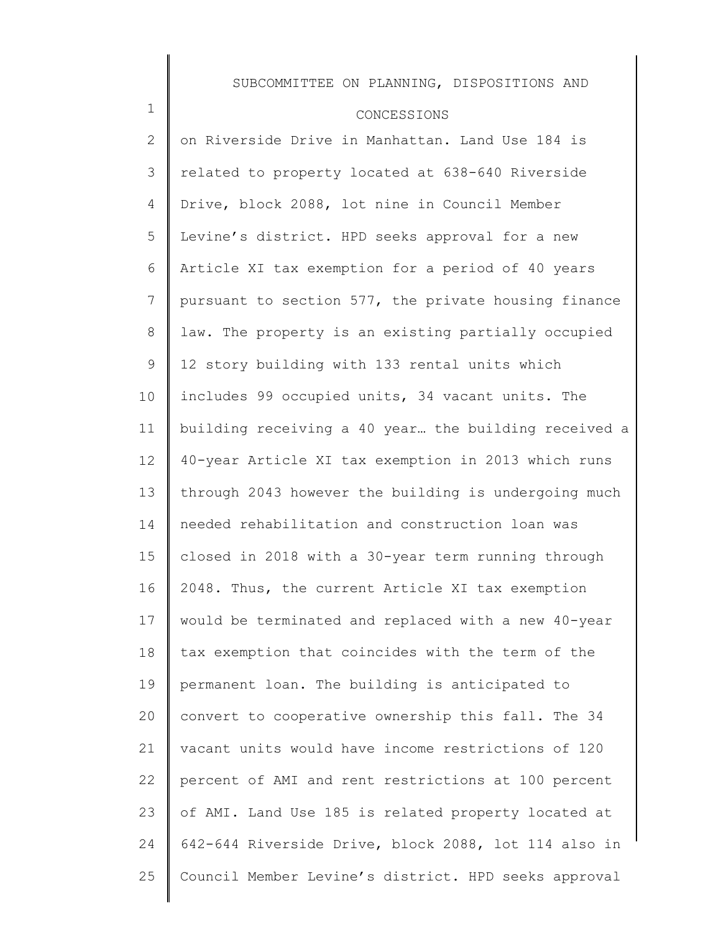### CONCESSIONS

1

2 3 4 5 6 7 8 9 10 11 12 13 14 15 16 17 18 19 20 21 22 23 24 25 on Riverside Drive in Manhattan. Land Use 184 is related to property located at 638-640 Riverside Drive, block 2088, lot nine in Council Member Levine's district. HPD seeks approval for a new Article XI tax exemption for a period of 40 years pursuant to section 577, the private housing finance law. The property is an existing partially occupied 12 story building with 133 rental units which includes 99 occupied units, 34 vacant units. The building receiving a 40 year… the building received a 40-year Article XI tax exemption in 2013 which runs through 2043 however the building is undergoing much needed rehabilitation and construction loan was closed in 2018 with a 30-year term running through 2048. Thus, the current Article XI tax exemption would be terminated and replaced with a new 40-year tax exemption that coincides with the term of the permanent loan. The building is anticipated to convert to cooperative ownership this fall. The 34 vacant units would have income restrictions of 120 percent of AMI and rent restrictions at 100 percent of AMI. Land Use 185 is related property located at 642-644 Riverside Drive, block 2088, lot 114 also in Council Member Levine's district. HPD seeks approval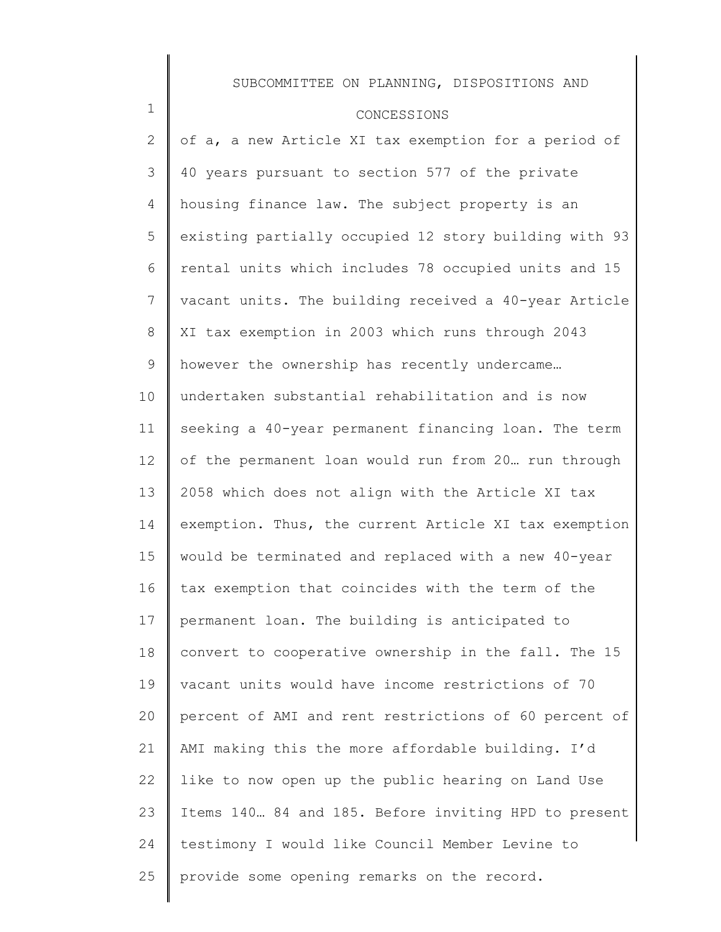### CONCESSIONS

1

2 3 4 5 6 7 8 9 10 11 12 13 14 15 16 17 18 19 20 21 22 23 24 25 of a, a new Article XI tax exemption for a period of 40 years pursuant to section 577 of the private housing finance law. The subject property is an existing partially occupied 12 story building with 93 rental units which includes 78 occupied units and 15 vacant units. The building received a 40-year Article XI tax exemption in 2003 which runs through 2043 however the ownership has recently undercame… undertaken substantial rehabilitation and is now seeking a 40-year permanent financing loan. The term of the permanent loan would run from 20… run through 2058 which does not align with the Article XI tax exemption. Thus, the current Article XI tax exemption would be terminated and replaced with a new 40-year tax exemption that coincides with the term of the permanent loan. The building is anticipated to convert to cooperative ownership in the fall. The 15 vacant units would have income restrictions of 70 percent of AMI and rent restrictions of 60 percent of AMI making this the more affordable building. I'd like to now open up the public hearing on Land Use Items 140… 84 and 185. Before inviting HPD to present testimony I would like Council Member Levine to provide some opening remarks on the record.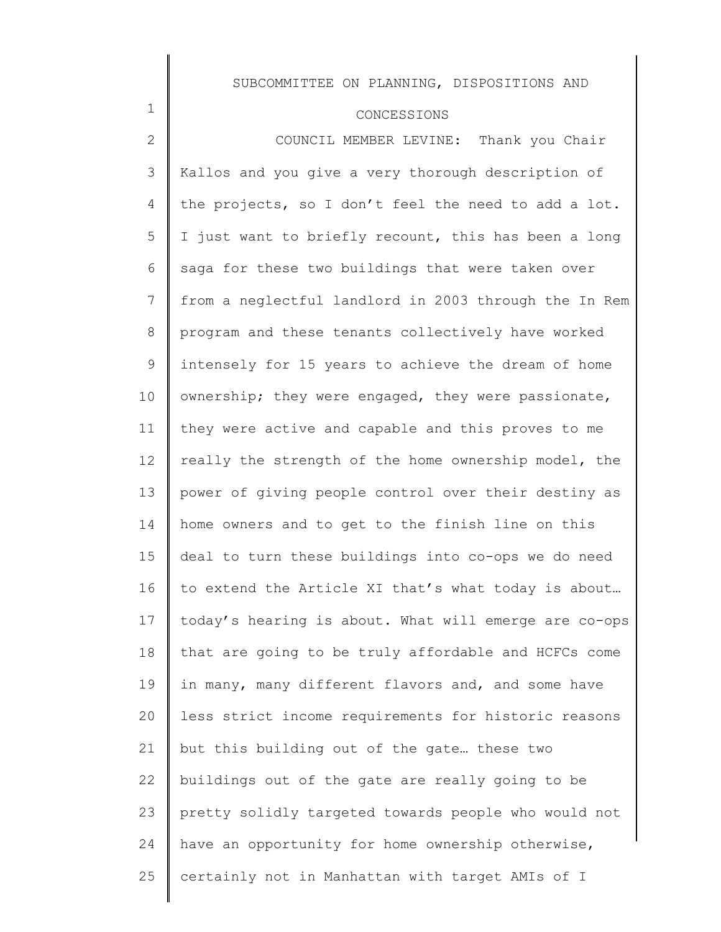### CONCESSIONS

1

2 3 4 5 6 7 8 9 10 11 12 13 14 15 16 17 18 19 20 21 22 23 24 25 COUNCIL MEMBER LEVINE: Thank you Chair Kallos and you give a very thorough description of the projects, so I don't feel the need to add a lot. I just want to briefly recount, this has been a long saga for these two buildings that were taken over from a neglectful landlord in 2003 through the In Rem program and these tenants collectively have worked intensely for 15 years to achieve the dream of home ownership; they were engaged, they were passionate, they were active and capable and this proves to me really the strength of the home ownership model, the power of giving people control over their destiny as home owners and to get to the finish line on this deal to turn these buildings into co-ops we do need to extend the Article XI that's what today is about… today's hearing is about. What will emerge are co-ops that are going to be truly affordable and HCFCs come in many, many different flavors and, and some have less strict income requirements for historic reasons but this building out of the gate… these two buildings out of the gate are really going to be pretty solidly targeted towards people who would not have an opportunity for home ownership otherwise, certainly not in Manhattan with target AMIs of I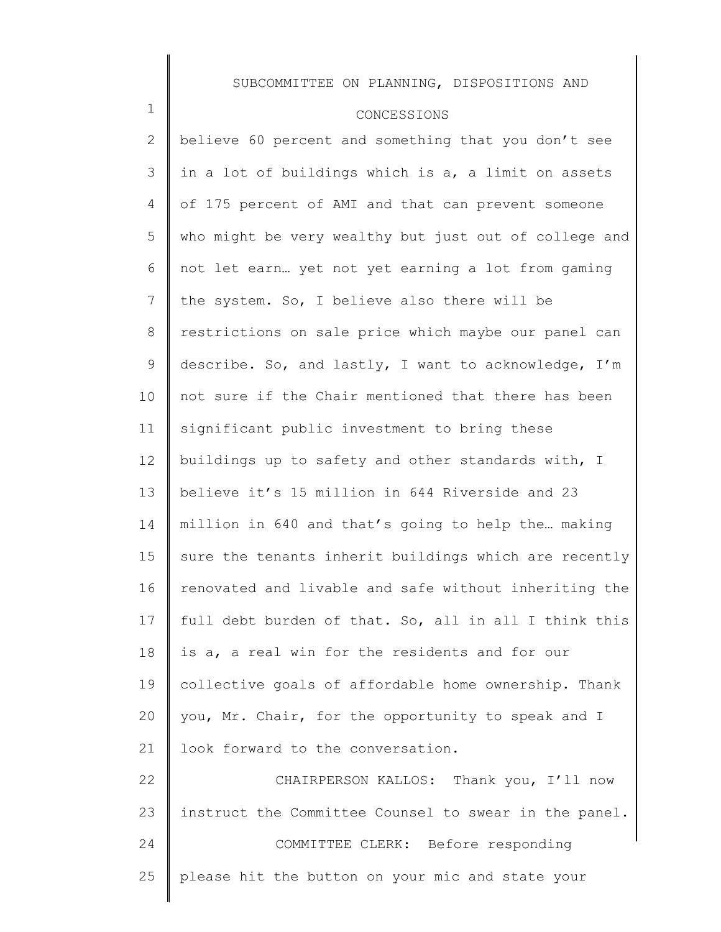### CONCESSIONS

1

2 3 4 5 6 7 8 9 10 11 12 13 14 15 16 17 18 19 20 21 22 23 24 25 believe 60 percent and something that you don't see in a lot of buildings which is a, a limit on assets of 175 percent of AMI and that can prevent someone who might be very wealthy but just out of college and not let earn… yet not yet earning a lot from gaming the system. So, I believe also there will be restrictions on sale price which maybe our panel can describe. So, and lastly, I want to acknowledge, I'm not sure if the Chair mentioned that there has been significant public investment to bring these buildings up to safety and other standards with, I believe it's 15 million in 644 Riverside and 23 million in 640 and that's going to help the… making sure the tenants inherit buildings which are recently renovated and livable and safe without inheriting the full debt burden of that. So, all in all I think this is a, a real win for the residents and for our collective goals of affordable home ownership. Thank you, Mr. Chair, for the opportunity to speak and I look forward to the conversation. CHAIRPERSON KALLOS: Thank you, I'll now instruct the Committee Counsel to swear in the panel. COMMITTEE CLERK: Before responding please hit the button on your mic and state your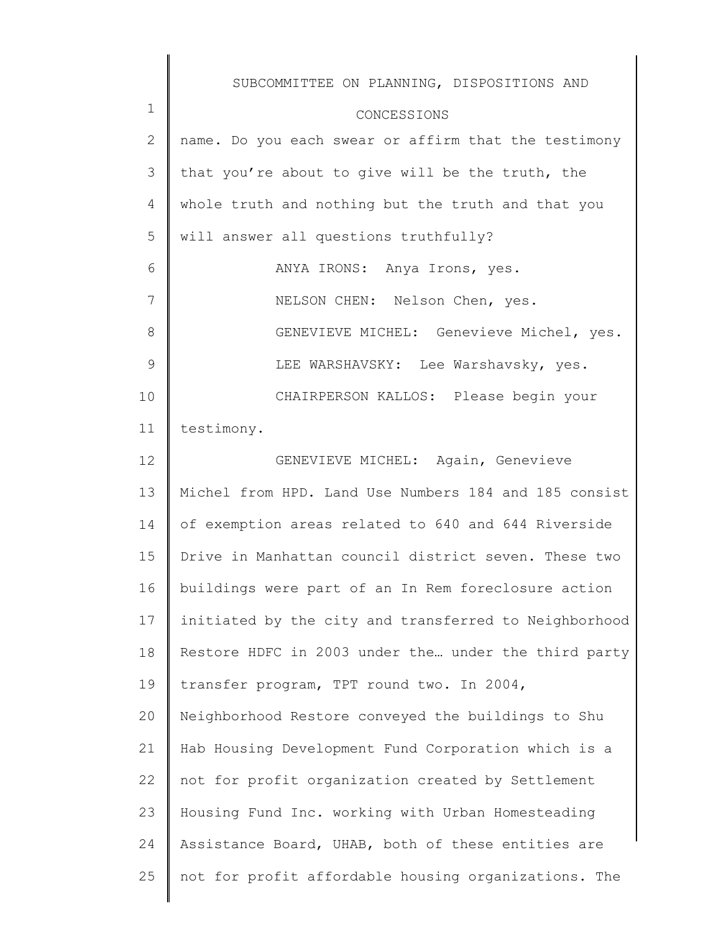|              | SUBCOMMITTEE ON PLANNING, DISPOSITIONS AND            |
|--------------|-------------------------------------------------------|
| $\mathbf 1$  | CONCESSIONS                                           |
| $\mathbf{2}$ | name. Do you each swear or affirm that the testimony  |
| 3            | that you're about to give will be the truth, the      |
| 4            | whole truth and nothing but the truth and that you    |
| 5            | will answer all questions truthfully?                 |
| 6            | ANYA IRONS: Anya Irons, yes.                          |
| 7            | NELSON CHEN: Nelson Chen, yes.                        |
| 8            | GENEVIEVE MICHEL: Genevieve Michel, yes.              |
| 9            | LEE WARSHAVSKY: Lee Warshavsky, yes.                  |
| 10           | CHAIRPERSON KALLOS: Please begin your                 |
| 11           | testimony.                                            |
| 12           | GENEVIEVE MICHEL: Again, Genevieve                    |
| 13           | Michel from HPD. Land Use Numbers 184 and 185 consist |
| 14           | of exemption areas related to 640 and 644 Riverside   |
| 15           | Drive in Manhattan council district seven. These two  |
| 16           | buildings were part of an In Rem foreclosure action   |
| 17           | initiated by the city and transferred to Neighborhood |
| 18           | Restore HDFC in 2003 under the under the third party  |
| 19           | transfer program, TPT round two. In 2004,             |
| 20           | Neighborhood Restore conveyed the buildings to Shu    |
| 21           | Hab Housing Development Fund Corporation which is a   |
| 22           | not for profit organization created by Settlement     |
| 23           | Housing Fund Inc. working with Urban Homesteading     |
| 24           | Assistance Board, UHAB, both of these entities are    |
| 25           | not for profit affordable housing organizations. The  |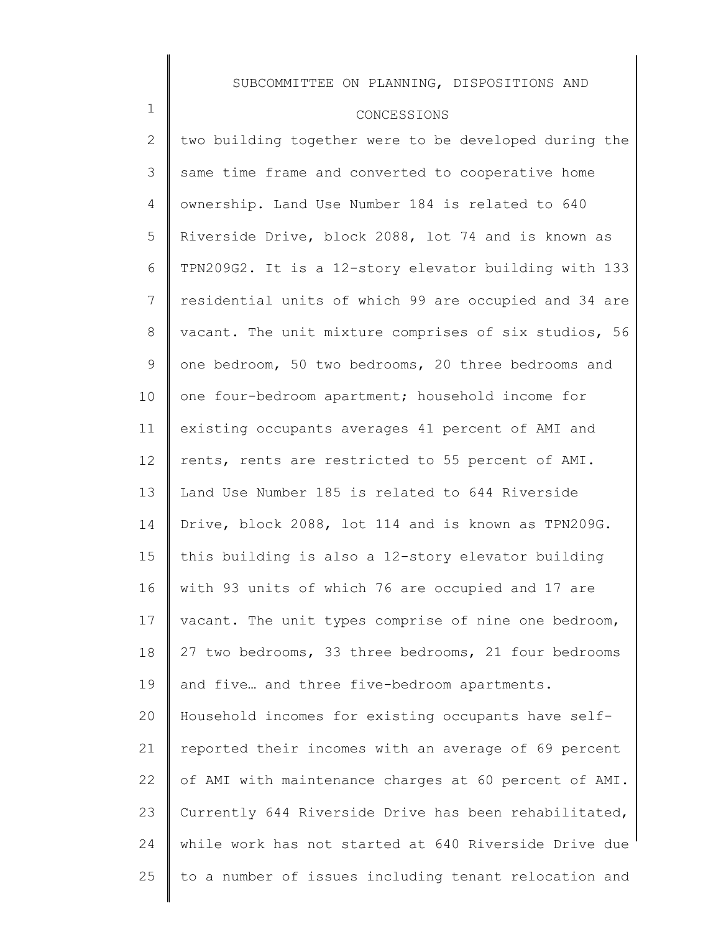#### CONCESSIONS

1

2 3 4 5 6 7 8 9 10 11 12 13 14 15 16 17 18 19 20 21 22 23 24 25 two building together were to be developed during the same time frame and converted to cooperative home ownership. Land Use Number 184 is related to 640 Riverside Drive, block 2088, lot 74 and is known as TPN209G2. It is a 12-story elevator building with 133 residential units of which 99 are occupied and 34 are vacant. The unit mixture comprises of six studios, 56 one bedroom, 50 two bedrooms, 20 three bedrooms and one four-bedroom apartment; household income for existing occupants averages 41 percent of AMI and rents, rents are restricted to 55 percent of AMI. Land Use Number 185 is related to 644 Riverside Drive, block 2088, lot 114 and is known as TPN209G. this building is also a 12-story elevator building with 93 units of which 76 are occupied and 17 are vacant. The unit types comprise of nine one bedroom, 27 two bedrooms, 33 three bedrooms, 21 four bedrooms and five… and three five-bedroom apartments. Household incomes for existing occupants have selfreported their incomes with an average of 69 percent of AMI with maintenance charges at 60 percent of AMI. Currently 644 Riverside Drive has been rehabilitated, while work has not started at 640 Riverside Drive due to a number of issues including tenant relocation and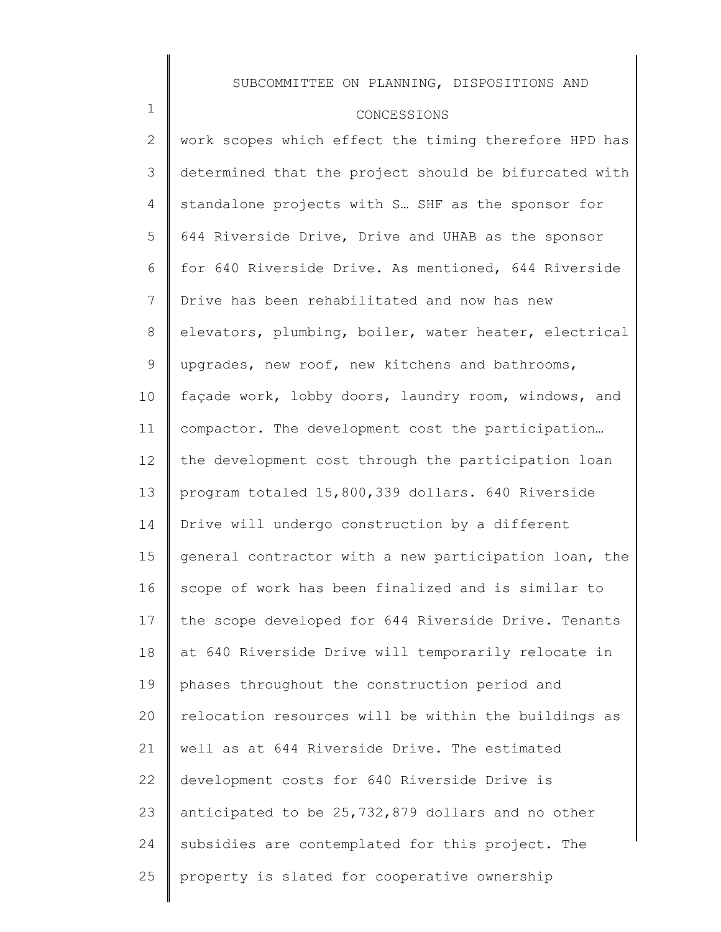### CONCESSIONS

1

2 3 4 5 6 7 8 9 10 11 12 13 14 15 16 17 18 19 20 21 22 23 24 25 work scopes which effect the timing therefore HPD has determined that the project should be bifurcated with standalone projects with S… SHF as the sponsor for 644 Riverside Drive, Drive and UHAB as the sponsor for 640 Riverside Drive. As mentioned, 644 Riverside Drive has been rehabilitated and now has new elevators, plumbing, boiler, water heater, electrical upgrades, new roof, new kitchens and bathrooms, façade work, lobby doors, laundry room, windows, and compactor. The development cost the participation… the development cost through the participation loan program totaled 15,800,339 dollars. 640 Riverside Drive will undergo construction by a different general contractor with a new participation loan, the scope of work has been finalized and is similar to the scope developed for 644 Riverside Drive. Tenants at 640 Riverside Drive will temporarily relocate in phases throughout the construction period and relocation resources will be within the buildings as well as at 644 Riverside Drive. The estimated development costs for 640 Riverside Drive is anticipated to be 25,732,879 dollars and no other subsidies are contemplated for this project. The property is slated for cooperative ownership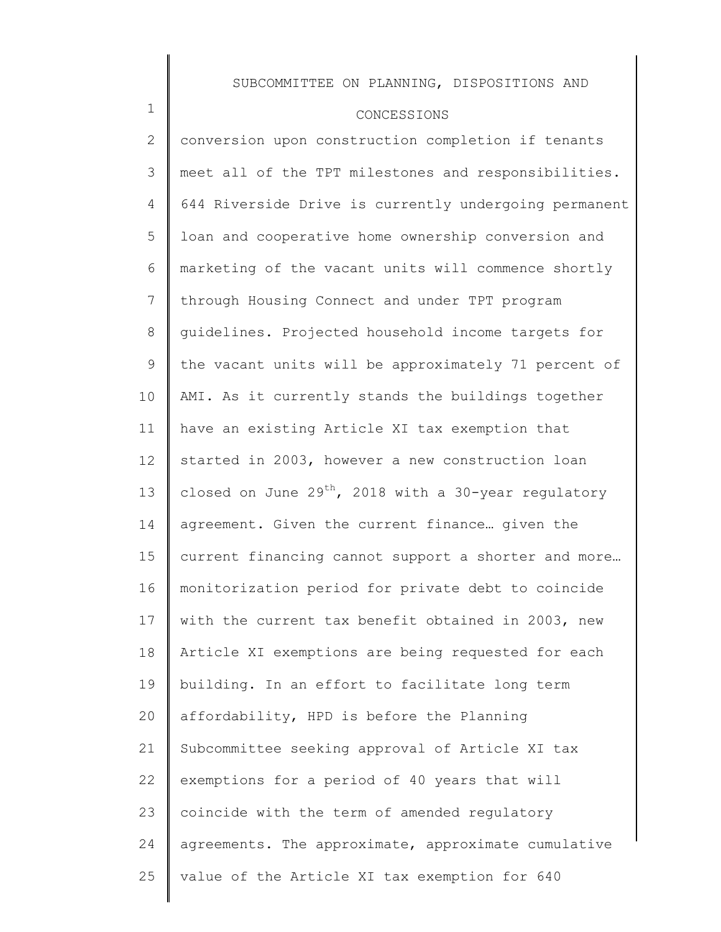### CONCESSIONS

1

2 3 4 5 6 7 8 9 10 11 12 13 14 15 16 17 18 19 20 21 22 23 24 25 conversion upon construction completion if tenants meet all of the TPT milestones and responsibilities. 644 Riverside Drive is currently undergoing permanent loan and cooperative home ownership conversion and marketing of the vacant units will commence shortly through Housing Connect and under TPT program guidelines. Projected household income targets for the vacant units will be approximately 71 percent of AMI. As it currently stands the buildings together have an existing Article XI tax exemption that started in 2003, however a new construction loan closed on June  $29^{th}$ , 2018 with a 30-year regulatory agreement. Given the current finance… given the current financing cannot support a shorter and more… monitorization period for private debt to coincide with the current tax benefit obtained in 2003, new Article XI exemptions are being requested for each building. In an effort to facilitate long term affordability, HPD is before the Planning Subcommittee seeking approval of Article XI tax exemptions for a period of 40 years that will coincide with the term of amended regulatory agreements. The approximate, approximate cumulative value of the Article XI tax exemption for 640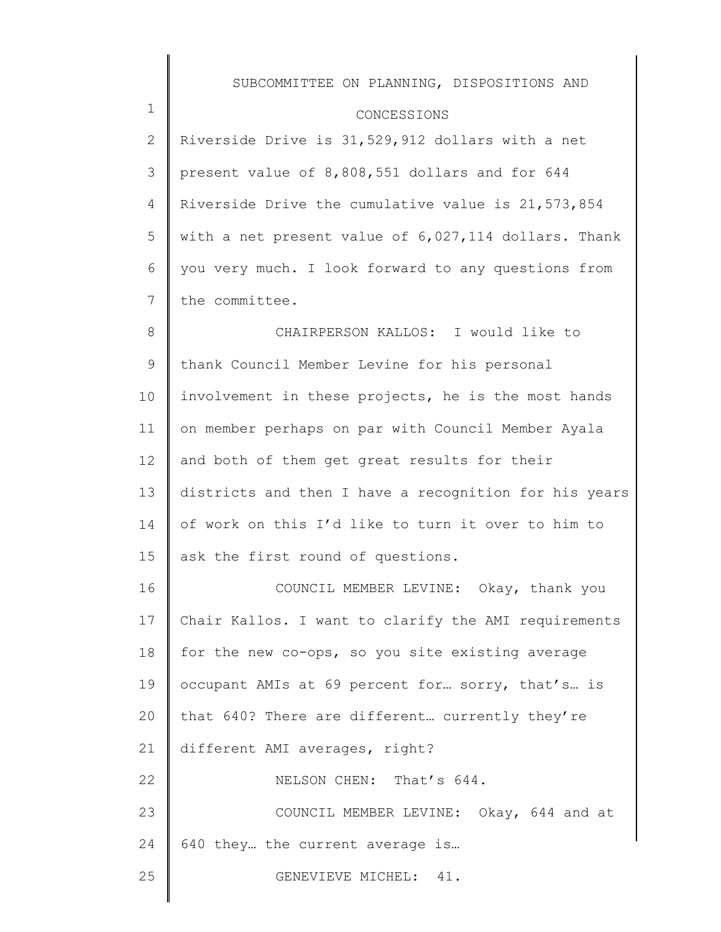#### CONCESSIONS

1

25

2 3 4 5 6 7 Riverside Drive is 31,529,912 dollars with a net present value of 8,808,551 dollars and for 644 Riverside Drive the cumulative value is 21,573,854 with a net present value of 6,027,114 dollars. Thank you very much. I look forward to any questions from the committee.

8 9 10 11 12 13 14 15 CHAIRPERSON KALLOS: I would like to thank Council Member Levine for his personal involvement in these projects, he is the most hands on member perhaps on par with Council Member Ayala and both of them get great results for their districts and then I have a recognition for his years of work on this I'd like to turn it over to him to ask the first round of questions.

16 17 18 19 20 21 22 23 24 COUNCIL MEMBER LEVINE: Okay, thank you Chair Kallos. I want to clarify the AMI requirements for the new co-ops, so you site existing average occupant AMIs at 69 percent for… sorry, that's… is that 640? There are different… currently they're different AMI averages, right? NELSON CHEN: That's 644. COUNCIL MEMBER LEVINE: Okay, 644 and at 640 they… the current average is…

GENEVIEVE MICHEL: 41.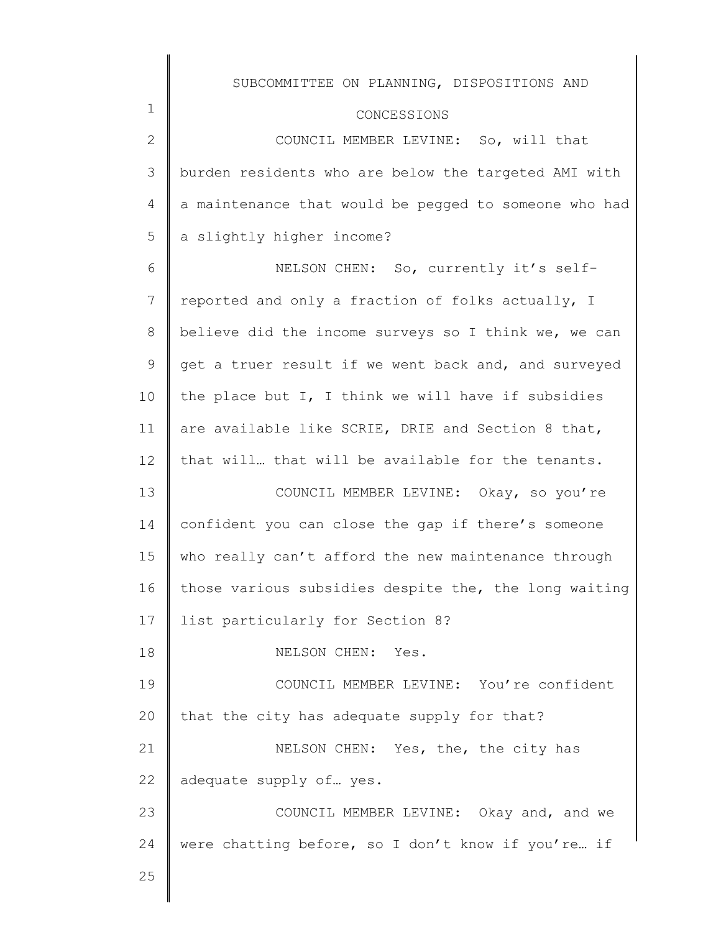### CONCESSIONS

| $\mathbf{2}^{\mathsf{I}}$ | COUNCIL MEMBER LEVINE: So, will that                      |
|---------------------------|-----------------------------------------------------------|
|                           | 3   burden residents who are below the targeted AMI with  |
|                           | 4   a maintenance that would be pegged to someone who had |
|                           | $5 \parallel a$ slightly higher income?                   |

6 7 8 9 10 11 12 13 NELSON CHEN: So, currently it's selfreported and only a fraction of folks actually, I believe did the income surveys so I think we, we can get a truer result if we went back and, and surveyed the place but I, I think we will have if subsidies are available like SCRIE, DRIE and Section 8 that, that will… that will be available for the tenants. COUNCIL MEMBER LEVINE: Okay, so you're

14 15 16 17 confident you can close the gap if there's someone who really can't afford the new maintenance through those various subsidies despite the, the long waiting list particularly for Section 8?

NELSON CHEN: Yes.

19 20 COUNCIL MEMBER LEVINE: You're confident that the city has adequate supply for that?

21 22 NELSON CHEN: Yes, the, the city has adequate supply of… yes.

23 24 COUNCIL MEMBER LEVINE: Okay and, and we were chatting before, so I don't know if you're… if

25

18

1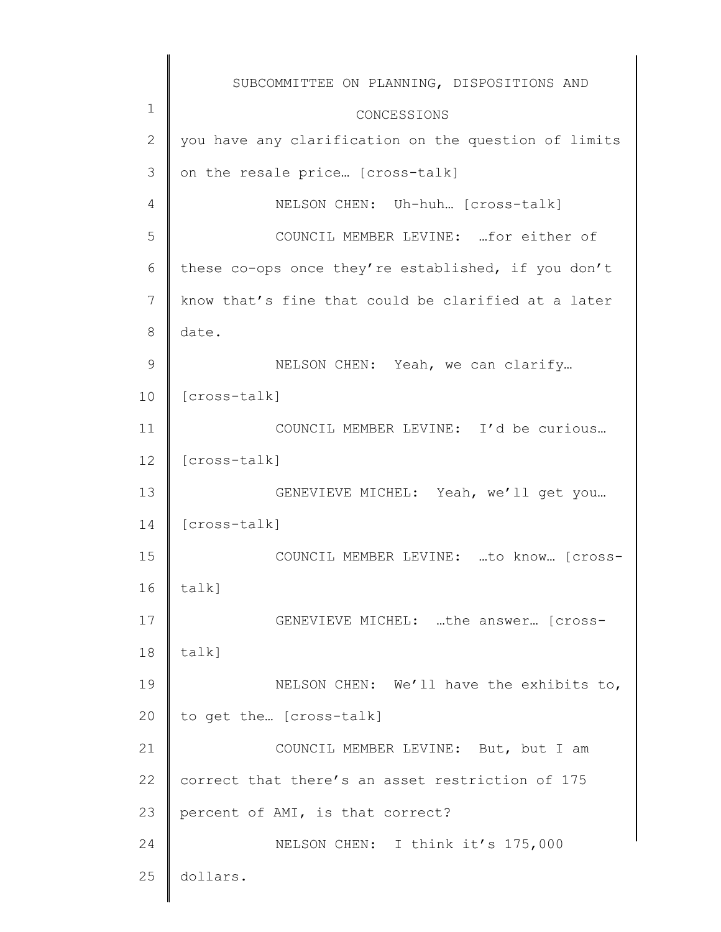|               | SUBCOMMITTEE ON PLANNING, DISPOSITIONS AND           |
|---------------|------------------------------------------------------|
| $\mathbf 1$   | CONCESSIONS                                          |
| $\mathbf{2}$  | you have any clarification on the question of limits |
| 3             | on the resale price [cross-talk]                     |
| 4             | NELSON CHEN: Uh-huh [cross-talk]                     |
| 5             | COUNCIL MEMBER LEVINE:  for either of                |
| 6             | these co-ops once they're established, if you don't  |
| 7             | know that's fine that could be clarified at a later  |
| 8             | date.                                                |
| $\mathcal{G}$ | NELSON CHEN: Yeah, we can clarify                    |
| 10            | [cross-talk]                                         |
| 11            | COUNCIL MEMBER LEVINE: I'd be curious                |
| 12            | [cross-talk]                                         |
| 13            | GENEVIEVE MICHEL: Yeah, we'll get you                |
| 14            | [cross-talk]                                         |
| 15            | COUNCIL MEMBER LEVINE: to know [cross-               |
| 16            | talk]                                                |
| 17            | GENEVIEVE MICHEL: the answer [cross-                 |
| 18            | talk]                                                |
| 19            | NELSON CHEN: We'll have the exhibits to,             |
| 20            | to get the [cross-talk]                              |
| 21            | COUNCIL MEMBER LEVINE: But, but I am                 |
| 22            | correct that there's an asset restriction of 175     |
| 23            | percent of AMI, is that correct?                     |
| 24            | NELSON CHEN: I think it's 175,000                    |
| 25            | dollars.                                             |
|               |                                                      |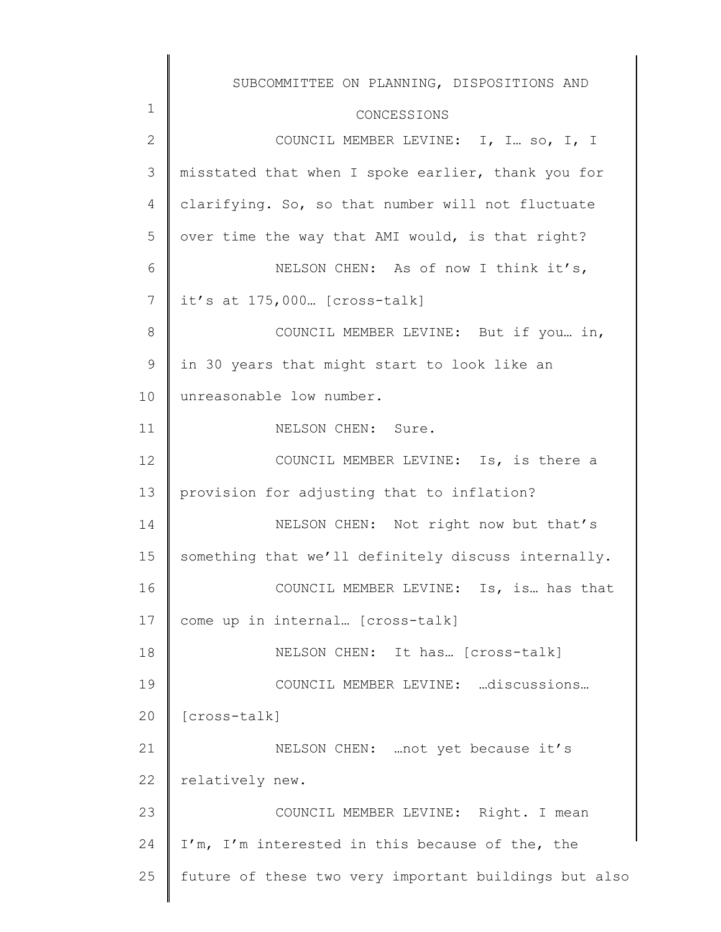|                | SUBCOMMITTEE ON PLANNING, DISPOSITIONS AND            |
|----------------|-------------------------------------------------------|
| $\mathbf 1$    | CONCESSIONS                                           |
| $\mathbf 2$    | COUNCIL MEMBER LEVINE: I, I so, I, I                  |
| 3              | misstated that when I spoke earlier, thank you for    |
| $\overline{4}$ | clarifying. So, so that number will not fluctuate     |
| 5              | over time the way that AMI would, is that right?      |
| 6              | NELSON CHEN: As of now I think it's,                  |
| 7              | it's at 175,000 [cross-talk]                          |
| $8\,$          | COUNCIL MEMBER LEVINE: But if you in,                 |
| $\mathcal{G}$  | in 30 years that might start to look like an          |
| 10             | unreasonable low number.                              |
| 11             | NELSON CHEN: Sure.                                    |
| 12             | COUNCIL MEMBER LEVINE: Is, is there a                 |
| 13             | provision for adjusting that to inflation?            |
| 14             | NELSON CHEN: Not right now but that's                 |
| 15             | something that we'll definitely discuss internally.   |
| 16             | COUNCIL MEMBER LEVINE: Is, is has that                |
| 17             | come up in internal [cross-talk]                      |
| 18             | NELSON CHEN: It has [Cross-talk]                      |
| 19             | COUNCIL MEMBER LEVINE: discussions                    |
| 20             | [cross-talk]                                          |
| 21             | NELSON CHEN:  not yet because it's                    |
| 22             | relatively new.                                       |
| 23             | COUNCIL MEMBER LEVINE: Right. I mean                  |
| 24             | I'm, I'm interested in this because of the, the       |
| 25             | future of these two very important buildings but also |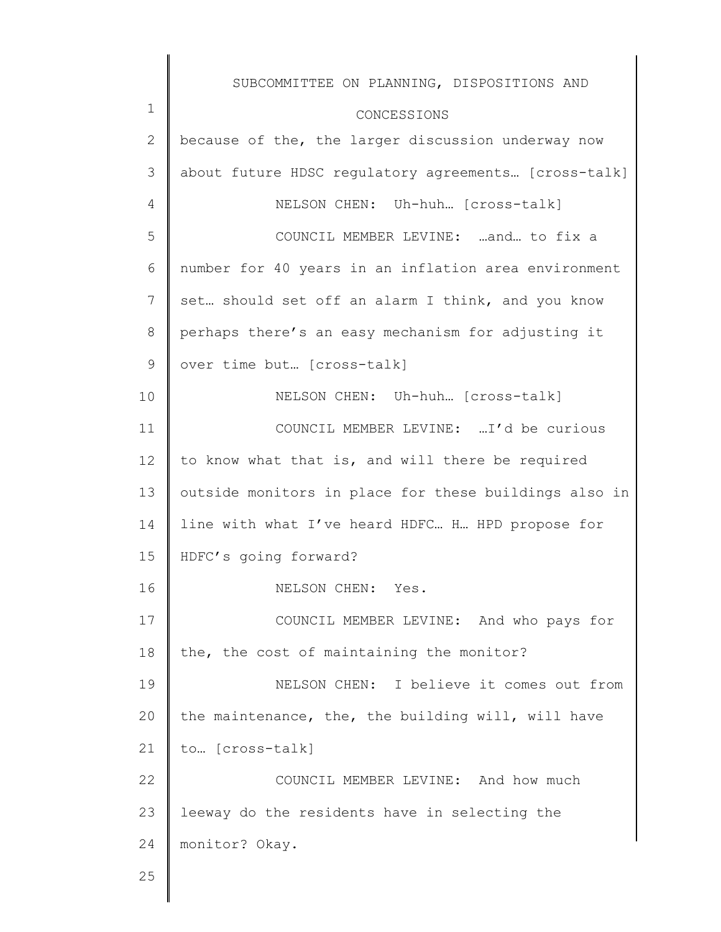|              | SUBCOMMITTEE ON PLANNING, DISPOSITIONS AND            |
|--------------|-------------------------------------------------------|
| 1            | CONCESSIONS                                           |
| $\mathbf{2}$ | because of the, the larger discussion underway now    |
| 3            | about future HDSC regulatory agreements [cross-talk]  |
| 4            | NELSON CHEN: Uh-huh [cross-talk]                      |
| 5            | COUNCIL MEMBER LEVINE: and to fix a                   |
| 6            | number for 40 years in an inflation area environment  |
| 7            | set should set off an alarm I think, and you know     |
| 8            | perhaps there's an easy mechanism for adjusting it    |
| 9            | over time but [cross-talk]                            |
| 10           | NELSON CHEN: Uh-huh [Cross-talk]                      |
| 11           | COUNCIL MEMBER LEVINE: I'd be curious                 |
| 12           | to know what that is, and will there be required      |
| 13           | outside monitors in place for these buildings also in |
| 14           | line with what I've heard HDFC H HPD propose for      |
| 15           | HDFC's going forward?                                 |
| 16           | NELSON CHEN: Yes.                                     |
| 17           | COUNCIL MEMBER LEVINE: And who pays for               |
| 18           | the, the cost of maintaining the monitor?             |
| 19           | NELSON CHEN: I believe it comes out from              |
| 20           | the maintenance, the, the building will, will have    |
| 21           | to [cross-talk]                                       |
| 22           | COUNCIL MEMBER LEVINE: And how much                   |
| 23           | leeway do the residents have in selecting the         |
| 24           | monitor? Okay.                                        |
| 25           |                                                       |
|              |                                                       |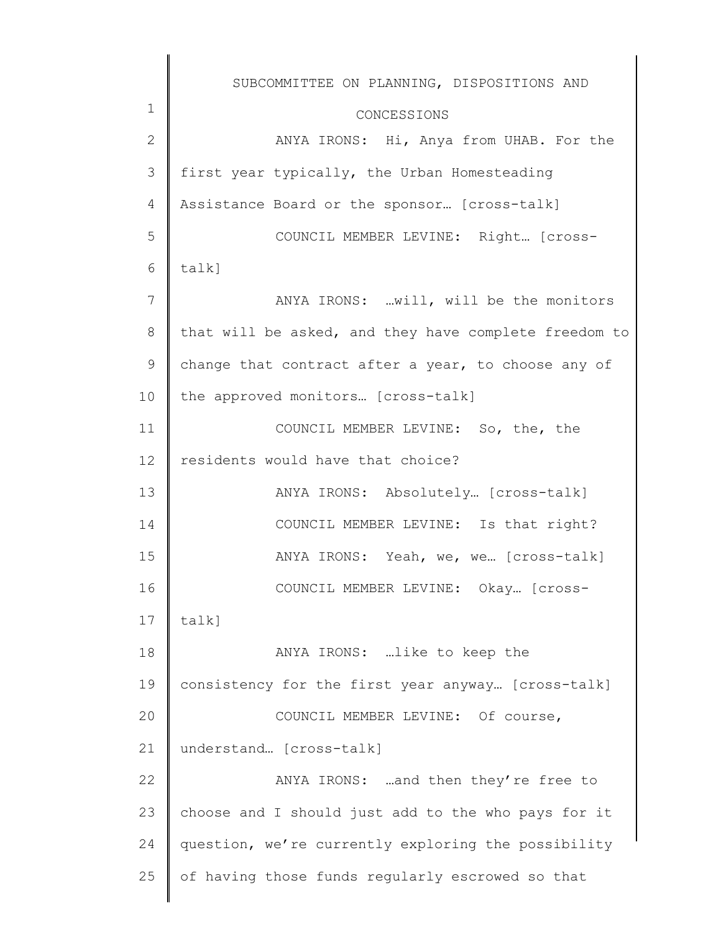1 2 3 4 5 6 7 8 9 10 11 12 13 14 15 16 17 18 19 20 21 22 23 24 25 SUBCOMMITTEE ON PLANNING, DISPOSITIONS AND CONCESSIONS ANYA IRONS: Hi, Anya from UHAB. For the first year typically, the Urban Homesteading Assistance Board or the sponsor… [cross-talk] COUNCIL MEMBER LEVINE: Right… [crosstalk] ANYA IRONS: …will, will be the monitors that will be asked, and they have complete freedom to change that contract after a year, to choose any of the approved monitors… [cross-talk] COUNCIL MEMBER LEVINE: So, the, the residents would have that choice? ANYA IRONS: Absolutely… [cross-talk] COUNCIL MEMBER LEVINE: Is that right? ANYA IRONS: Yeah, we, we… [cross-talk] COUNCIL MEMBER LEVINE: Okay… [crosstalk] ANYA IRONS: …like to keep the consistency for the first year anyway… [cross-talk] COUNCIL MEMBER LEVINE: Of course, understand… [cross-talk] ANYA IRONS: …and then they're free to choose and I should just add to the who pays for it question, we're currently exploring the possibility of having those funds regularly escrowed so that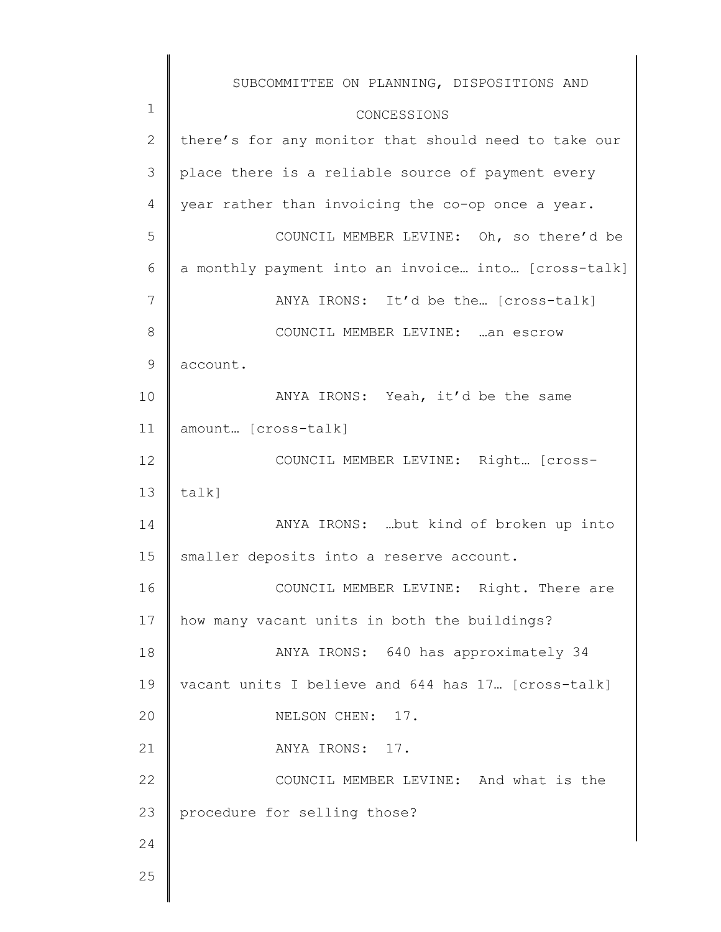|               | SUBCOMMITTEE ON PLANNING, DISPOSITIONS AND           |
|---------------|------------------------------------------------------|
| 1             | CONCESSIONS                                          |
| $\mathbf{2}$  | there's for any monitor that should need to take our |
| 3             | place there is a reliable source of payment every    |
| 4             | year rather than invoicing the co-op once a year.    |
| 5             | COUNCIL MEMBER LEVINE: Oh, so there'd be             |
| 6             | a monthly payment into an invoice into [cross-talk]  |
| 7             | ANYA IRONS: It'd be the [cross-talk]                 |
| 8             | COUNCIL MEMBER LEVINE: an escrow                     |
| $\mathcal{G}$ | account.                                             |
| 10            | ANYA IRONS: Yeah, it'd be the same                   |
| 11            | amount [cross-talk]                                  |
| 12            | COUNCIL MEMBER LEVINE: Right [cross-                 |
| 13            | talk]                                                |
| 14            | ANYA IRONS:  but kind of broken up into              |
| 15            | smaller deposits into a reserve account.             |
| 16            | COUNCIL MEMBER LEVINE: Right. There are              |
| 17            | how many vacant units in both the buildings?         |
| 18            | ANYA IRONS: 640 has approximately 34                 |
| 19            | vacant units I believe and 644 has 17. [cross-talk]  |
| 20            | NELSON CHEN: 17.                                     |
| 21            | ANYA IRONS: 17.                                      |
| 22            | COUNCIL MEMBER LEVINE: And what is the               |
| 23            | procedure for selling those?                         |
| 24            |                                                      |
| 25            |                                                      |
|               |                                                      |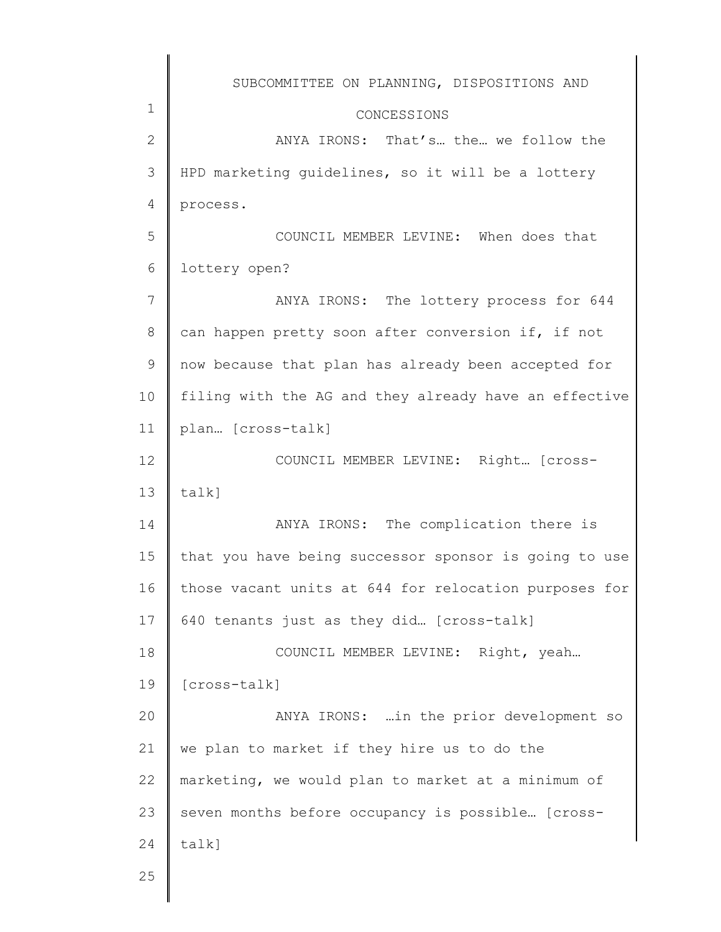|                 | SUBCOMMITTEE ON PLANNING, DISPOSITIONS AND            |
|-----------------|-------------------------------------------------------|
| $\mathbf 1$     | CONCESSIONS                                           |
| $\overline{2}$  | ANYA IRONS: That's the we follow the                  |
| 3               | HPD marketing guidelines, so it will be a lottery     |
| 4               | process.                                              |
| 5               | COUNCIL MEMBER LEVINE: When does that                 |
| 6               | lottery open?                                         |
| 7               | ANYA IRONS: The lottery process for 644               |
| 8               | can happen pretty soon after conversion if, if not    |
| 9               | now because that plan has already been accepted for   |
| 10              | filing with the AG and they already have an effective |
| 11              | plan [cross-talk]                                     |
| 12 <sup>°</sup> | COUNCIL MEMBER LEVINE: Right [cross-                  |
| 13              | talk]                                                 |
| 14              | ANYA IRONS: The complication there is                 |
| 15              | that you have being successor sponsor is going to use |
| 16              | those vacant units at 644 for relocation purposes for |
| 17              | 640 tenants just as they did [cross-talk]             |
| 18              | COUNCIL MEMBER LEVINE: Right, yeah                    |
| 19              | [cross-talk]                                          |
| 20              | ANYA IRONS:  in the prior development so              |
| 21              | we plan to market if they hire us to do the           |
| 22              | marketing, we would plan to market at a minimum of    |
| 23              | seven months before occupancy is possible [cross-     |
| 24              | talk]                                                 |
| 25              |                                                       |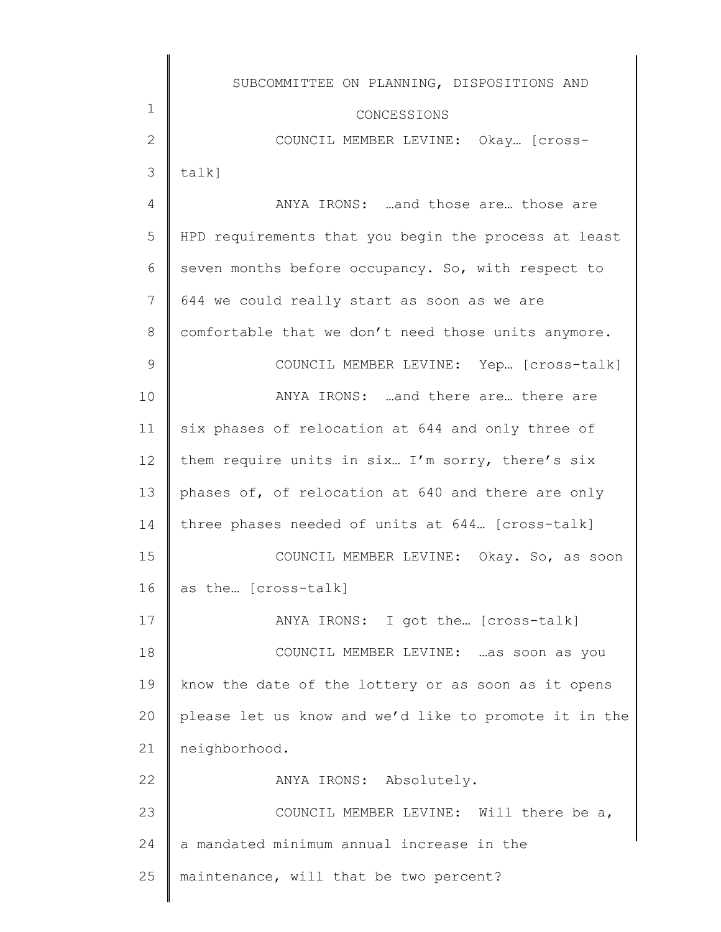|               | SUBCOMMITTEE ON PLANNING, DISPOSITIONS AND            |
|---------------|-------------------------------------------------------|
| 1             | CONCESSIONS                                           |
| $\mathbf{2}$  | COUNCIL MEMBER LEVINE: Okay [Cross-                   |
| 3             | talk]                                                 |
| 4             | ANYA IRONS: and those are those are                   |
| 5             | HPD requirements that you begin the process at least  |
| 6             | seven months before occupancy. So, with respect to    |
| 7             | 644 we could really start as soon as we are           |
| 8             | comfortable that we don't need those units anymore.   |
| $\mathcal{G}$ | COUNCIL MEMBER LEVINE: Yep [cross-talk]               |
| 10            | ANYA IRONS: and there are there are                   |
| 11            | six phases of relocation at 644 and only three of     |
| 12            | them require units in six I'm sorry, there's six      |
| 13            | phases of, of relocation at 640 and there are only    |
| 14            | three phases needed of units at 644 [cross-talk]      |
| 15            | COUNCIL MEMBER LEVINE: Okay. So, as soon              |
| 16            | as the [cross-talk]                                   |
| 17            | ANYA IRONS: I got the [cross-talk]                    |
| 18            | COUNCIL MEMBER LEVINE:  as soon as you                |
| 19            | know the date of the lottery or as soon as it opens   |
| 20            | please let us know and we'd like to promote it in the |
| 21            | neighborhood.                                         |
| 22            | ANYA IRONS: Absolutely.                               |
| 23            | COUNCIL MEMBER LEVINE: Will there be a,               |
| 24            | a mandated minimum annual increase in the             |
| 25            | maintenance, will that be two percent?                |
|               |                                                       |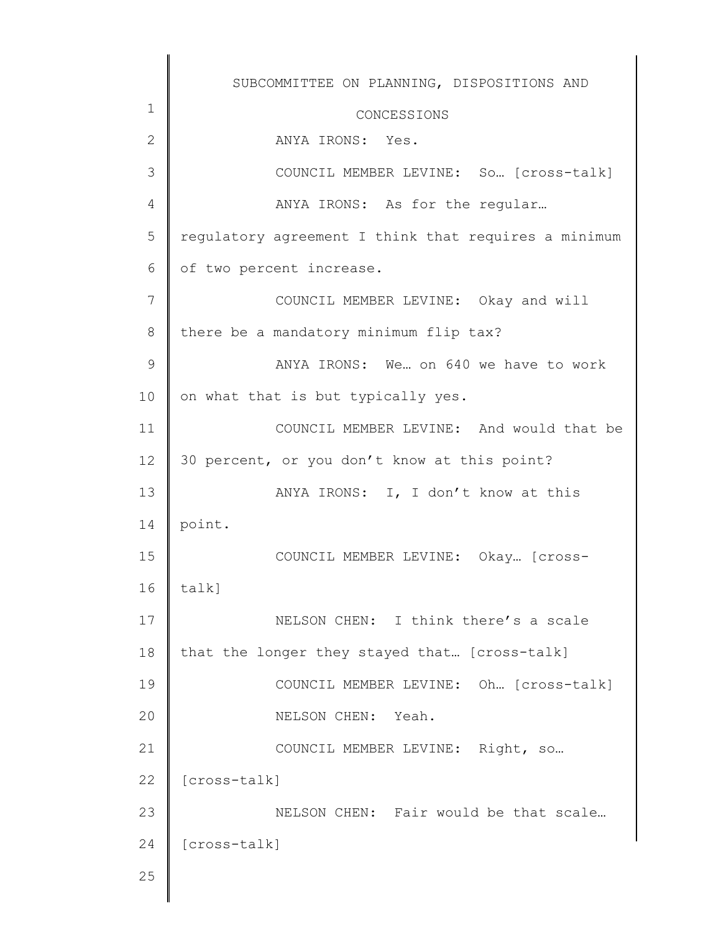|               | SUBCOMMITTEE ON PLANNING, DISPOSITIONS AND           |
|---------------|------------------------------------------------------|
| 1             | CONCESSIONS                                          |
| $\mathbf{2}$  | ANYA IRONS: Yes.                                     |
| 3             | COUNCIL MEMBER LEVINE: So [cross-talk]               |
| 4             | ANYA IRONS: As for the regular                       |
| 5             | regulatory agreement I think that requires a minimum |
| 6             | of two percent increase.                             |
| 7             | COUNCIL MEMBER LEVINE: Okay and will                 |
| $8\,$         | there be a mandatory minimum flip tax?               |
| $\mathcal{G}$ | ANYA IRONS: We on 640 we have to work                |
| 10            | on what that is but typically yes.                   |
| 11            | COUNCIL MEMBER LEVINE: And would that be             |
| 12            | 30 percent, or you don't know at this point?         |
| 13            | ANYA IRONS: I, I don't know at this                  |
| 14            | point.                                               |
| 15            | COUNCIL MEMBER LEVINE: Okay [Cross-                  |
| 16            | talk]                                                |
| 17            | NELSON CHEN: I think there's a scale                 |
| 18            | that the longer they stayed that [cross-talk]        |
| 19            | COUNCIL MEMBER LEVINE: Oh [cross-talk]               |
| 20            | NELSON CHEN: Yeah.                                   |
| 21            | COUNCIL MEMBER LEVINE: Right, so                     |
| 22            | [cross-talk]                                         |
| 23            | NELSON CHEN: Fair would be that scale                |
| 24            | [cross-talk]                                         |
| 25            |                                                      |
|               |                                                      |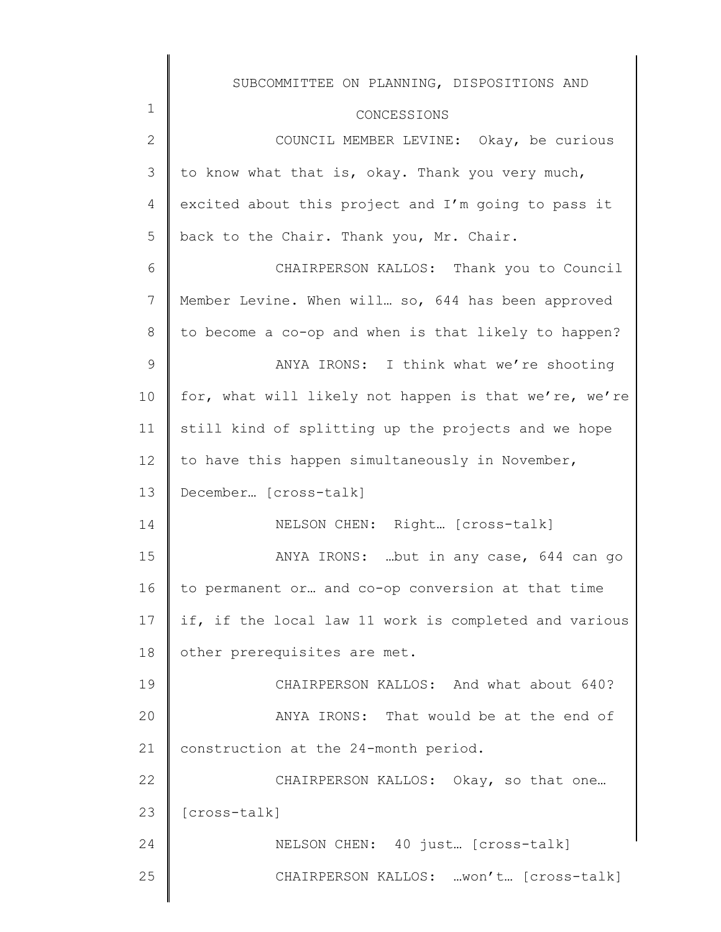|              | SUBCOMMITTEE ON PLANNING, DISPOSITIONS AND            |
|--------------|-------------------------------------------------------|
| $\mathbf 1$  | CONCESSIONS                                           |
| $\mathbf{2}$ | COUNCIL MEMBER LEVINE: Okay, be curious               |
| 3            | to know what that is, okay. Thank you very much,      |
| 4            | excited about this project and I'm going to pass it   |
| 5            | back to the Chair. Thank you, Mr. Chair.              |
| 6            | CHAIRPERSON KALLOS: Thank you to Council              |
| 7            | Member Levine. When will so, 644 has been approved    |
| 8            | to become a co-op and when is that likely to happen?  |
| 9            | ANYA IRONS: I think what we're shooting               |
| 10           | for, what will likely not happen is that we're, we're |
| 11           | still kind of splitting up the projects and we hope   |
| 12           | to have this happen simultaneously in November,       |
| 13           | December [cross-talk]                                 |
| 14           | NELSON CHEN: Right [cross-talk]                       |
| 15           | ANYA IRONS: but in any case, 644 can go               |
| 16           | to permanent or and co-op conversion at that time     |
| 17           | if, if the local law 11 work is completed and various |
| 18           | other prerequisites are met.                          |
| 19           | CHAIRPERSON KALLOS: And what about 640?               |
| 20           | ANYA IRONS: That would be at the end of               |
| 21           | construction at the 24-month period.                  |
| 22           | CHAIRPERSON KALLOS: Okay, so that one                 |
| 23           | [cross-talk]                                          |
| 24           | NELSON CHEN: 40 just [cross-talk]                     |
| 25           | CHAIRPERSON KALLOS: won't [cross-talk]                |
|              |                                                       |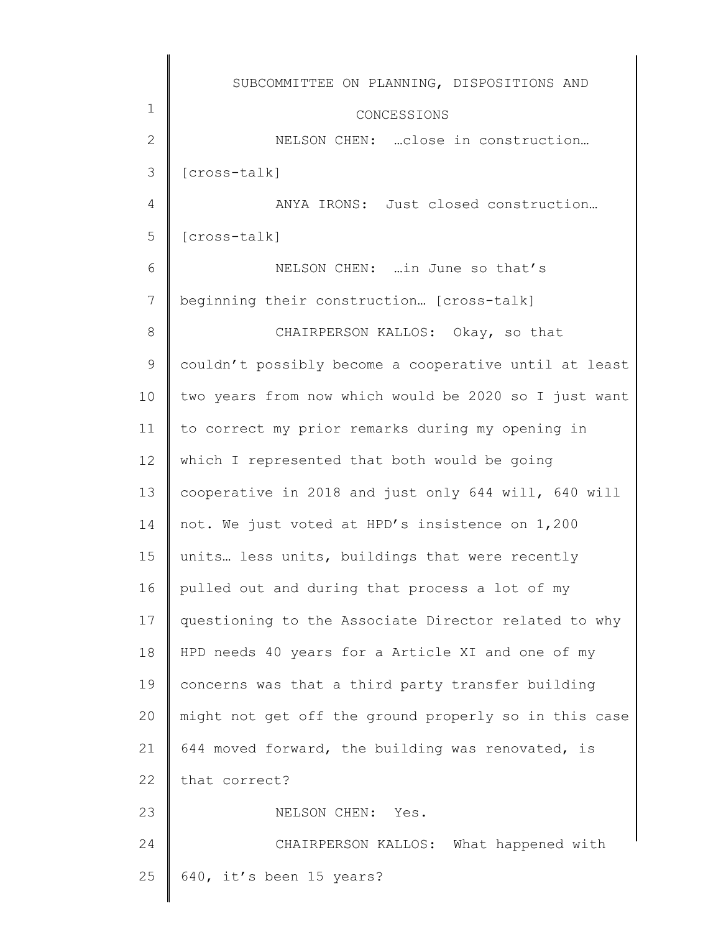|               | SUBCOMMITTEE ON PLANNING, DISPOSITIONS AND            |
|---------------|-------------------------------------------------------|
| 1             | CONCESSIONS                                           |
| $\mathbf{2}$  | NELSON CHEN:  close in construction                   |
| 3             | [cross-talk]                                          |
| 4             | ANYA IRONS: Just closed construction                  |
| 5             | [cross-talk]                                          |
| 6             | NELSON CHEN:  in June so that's                       |
| 7             | beginning their construction [cross-talk]             |
| 8             | CHAIRPERSON KALLOS: Okay, so that                     |
| $\mathcal{G}$ | couldn't possibly become a cooperative until at least |
| 10            | two years from now which would be 2020 so I just want |
| 11            | to correct my prior remarks during my opening in      |
| 12            | which I represented that both would be going          |
| 13            | cooperative in 2018 and just only 644 will, 640 will  |
| 14            | not. We just voted at HPD's insistence on 1,200       |
| 15            | units less units, buildings that were recently        |
| 16            | pulled out and during that process a lot of my        |
| 17            | questioning to the Associate Director related to why  |
| 18            | HPD needs 40 years for a Article XI and one of my     |
| 19            | concerns was that a third party transfer building     |
| 20            | might not get off the ground properly so in this case |
| 21            | 644 moved forward, the building was renovated, is     |
| 22            | that correct?                                         |
| 23            | NELSON CHEN: Yes.                                     |
| 24            | CHAIRPERSON KALLOS: What happened with                |
| 25            | 640, it's been 15 years?                              |
|               |                                                       |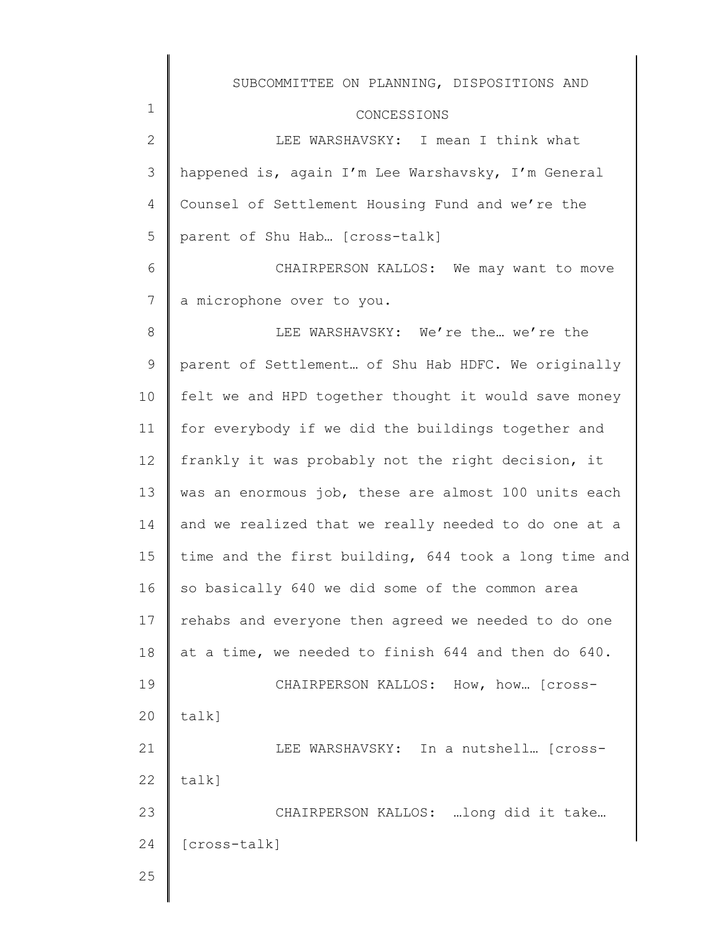|                 | SUBCOMMITTEE ON PLANNING, DISPOSITIONS AND            |
|-----------------|-------------------------------------------------------|
| 1               | CONCESSIONS                                           |
| $\mathbf{2}$    | LEE WARSHAVSKY: I mean I think what                   |
| 3               | happened is, again I'm Lee Warshavsky, I'm General    |
| 4               | Counsel of Settlement Housing Fund and we're the      |
| 5               | parent of Shu Hab [cross-talk]                        |
| 6               | CHAIRPERSON KALLOS: We may want to move               |
| $7\phantom{.0}$ | a microphone over to you.                             |
| 8               | LEE WARSHAVSKY: We're the we're the                   |
| 9               | parent of Settlement of Shu Hab HDFC. We originally   |
| 10              | felt we and HPD together thought it would save money  |
| 11              | for everybody if we did the buildings together and    |
| 12              | frankly it was probably not the right decision, it    |
| 13              | was an enormous job, these are almost 100 units each  |
| 14              | and we realized that we really needed to do one at a  |
| 15              | time and the first building, 644 took a long time and |
| 16              | so basically 640 we did some of the common area       |
| 17              | rehabs and everyone then agreed we needed to do one   |
| 18              | at a time, we needed to finish 644 and then do 640.   |
| 19              | CHAIRPERSON KALLOS: How, how [Cross-                  |
| 20              | talk]                                                 |
| 21              | LEE WARSHAVSKY: In a nutshell [Cross-                 |
| 22              | talk]                                                 |
| 23              | CHAIRPERSON KALLOS: long did it take                  |
| 24              | [cross-talk]                                          |
| 25              |                                                       |
|                 |                                                       |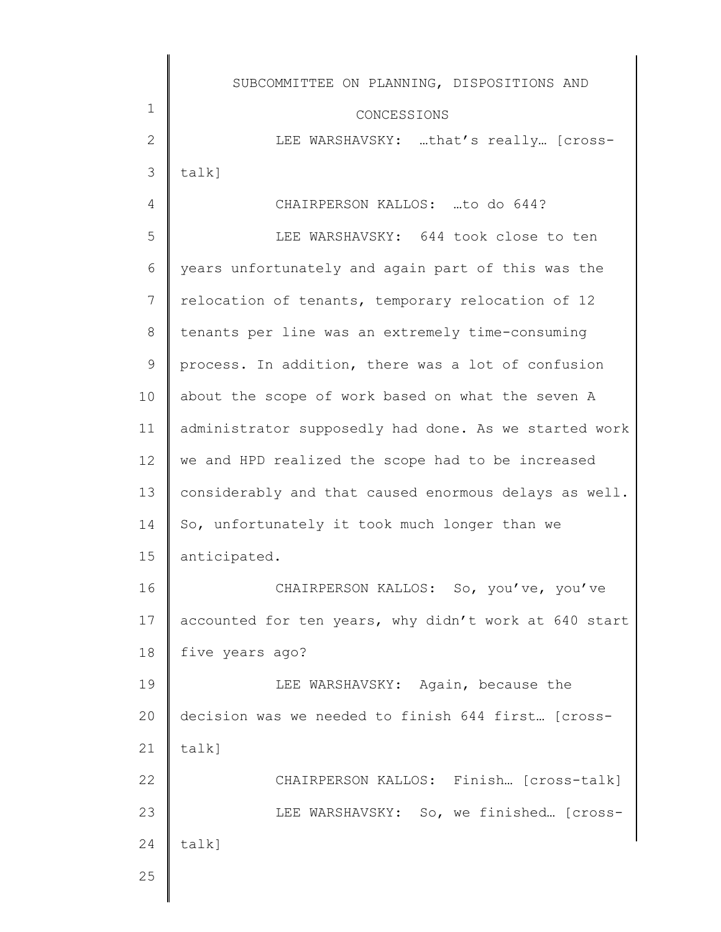|              | SUBCOMMITTEE ON PLANNING, DISPOSITIONS AND            |
|--------------|-------------------------------------------------------|
| 1            | CONCESSIONS                                           |
| $\mathbf{2}$ | LEE WARSHAVSKY: that's really [cross-                 |
| 3            | $talk$ ]                                              |
| 4            | CHAIRPERSON KALLOS: to do 644?                        |
| 5            | LEE WARSHAVSKY: 644 took close to ten                 |
| 6            | years unfortunately and again part of this was the    |
| 7            | relocation of tenants, temporary relocation of 12     |
| 8            | tenants per line was an extremely time-consuming      |
| $\mathsf 9$  | process. In addition, there was a lot of confusion    |
| 10           | about the scope of work based on what the seven A     |
| 11           | administrator supposedly had done. As we started work |
| 12           | we and HPD realized the scope had to be increased     |
| 13           | considerably and that caused enormous delays as well. |
| 14           | So, unfortunately it took much longer than we         |
| 15           | anticipated.                                          |
| 16           | CHAIRPERSON KALLOS: So, you've, you've                |
| 17           | accounted for ten years, why didn't work at 640 start |
| 18           | five years ago?                                       |
| 19           | LEE WARSHAVSKY: Again, because the                    |
| 20           | decision was we needed to finish 644 first [cross-    |
| 21           | $talk$ ]                                              |
| 22           | CHAIRPERSON KALLOS: Finish [Cross-talk]               |
| 23           | LEE WARSHAVSKY: So, we finished [Cross-               |
| 24           | talk]                                                 |
| 25           |                                                       |

∥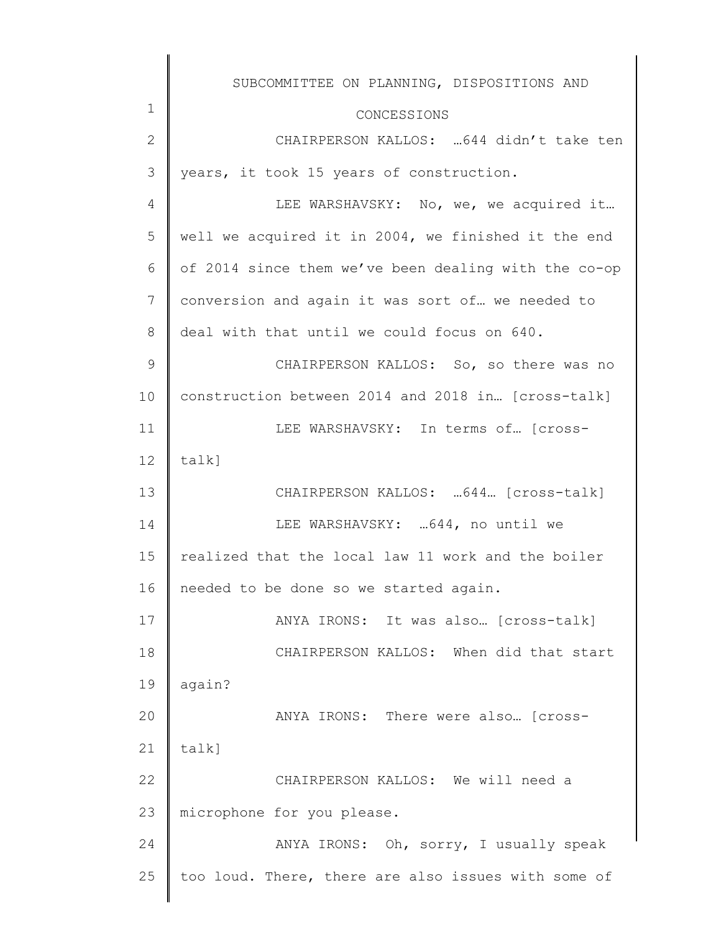| $\mathbf 1$ | SUBCOMMITTEE ON PLANNING, DISPOSITIONS AND           |
|-------------|------------------------------------------------------|
|             | CONCESSIONS                                          |
| 2           | CHAIRPERSON KALLOS:  644 didn't take ten             |
| 3           | years, it took 15 years of construction.             |
| 4           | LEE WARSHAVSKY: No, we, we acquired it               |
| 5           | well we acquired it in 2004, we finished it the end  |
| 6           | of 2014 since them we've been dealing with the co-op |
| 7           | conversion and again it was sort of we needed to     |
| 8           | deal with that until we could focus on 640.          |
| $\mathsf 9$ | CHAIRPERSON KALLOS: So, so there was no              |
| 10          | construction between 2014 and 2018 in [cross-talk]   |
| 11          | LEE WARSHAVSKY: In terms of [cross-                  |
| 12          | talk]                                                |
| 13          | CHAIRPERSON KALLOS:  644. [cross-talk]               |
| 14          | LEE WARSHAVSKY:  644, no until we                    |
| 15          | realized that the local law 11 work and the boiler   |
| 16          | needed to be done so we started again.               |
| 17          | ANYA IRONS: It was also [cross-talk]                 |
| 18          | CHAIRPERSON KALLOS: When did that start              |
| 19          | again?                                               |
| 20          | ANYA IRONS: There were also [cross-                  |
| 21          | $talk$ ]                                             |
| 22          | CHAIRPERSON KALLOS: We will need a                   |
| 23          | microphone for you please.                           |
| 24          | ANYA IRONS: Oh, sorry, I usually speak               |
| 25          | too loud. There, there are also issues with some of  |
|             |                                                      |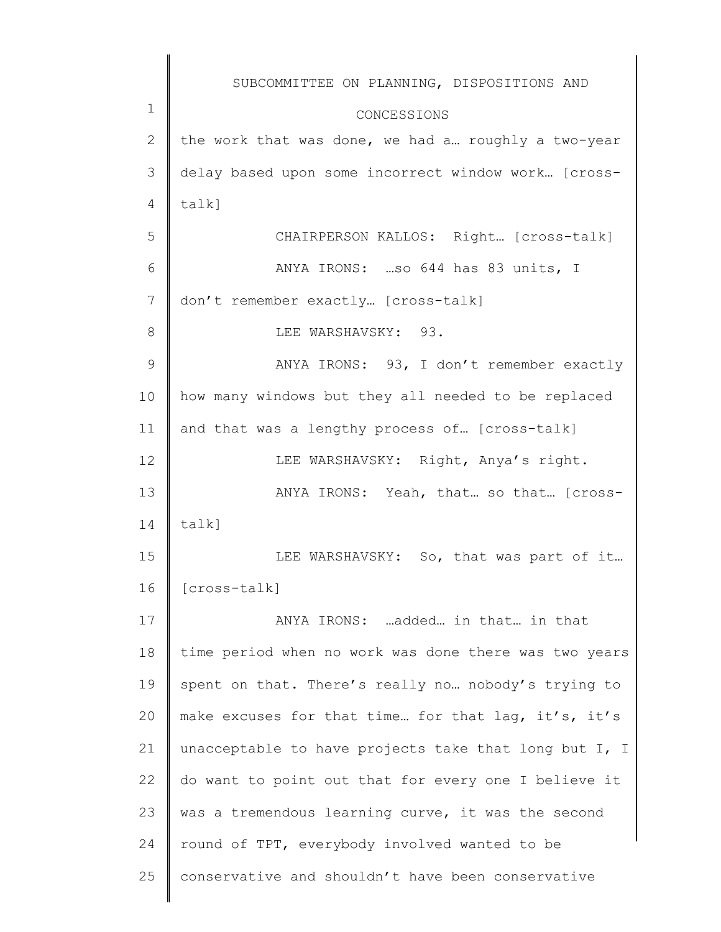|                | SUBCOMMITTEE ON PLANNING, DISPOSITIONS AND            |
|----------------|-------------------------------------------------------|
| $\mathbf 1$    | CONCESSIONS                                           |
| $\mathbf{2}$   | the work that was done, we had a roughly a two-year   |
| 3              | delay based upon some incorrect window work [cross-   |
| 4              | talk]                                                 |
| 5              | CHAIRPERSON KALLOS: Right [cross-talk]                |
| 6              | ANYA IRONS: so 644 has 83 units, I                    |
| $\overline{7}$ | don't remember exactly [cross-talk]                   |
| 8              | LEE WARSHAVSKY: 93.                                   |
| $\mathcal{G}$  | ANYA IRONS: 93, I don't remember exactly              |
| 10             | how many windows but they all needed to be replaced   |
| 11             | and that was a lengthy process of [cross-talk]        |
| 12             | LEE WARSHAVSKY: Right, Anya's right.                  |
| 13             | ANYA IRONS: Yeah, that so that [cross-                |
| 14             | talk]                                                 |
| 15             | LEE WARSHAVSKY: So, that was part of it               |
| 16             | [cross-talk]                                          |
| 17             | ANYA IRONS: added in that in that                     |
| 18             | time period when no work was done there was two years |
| 19             | spent on that. There's really no nobody's trying to   |
| 20             | make excuses for that time for that lag, it's, it's   |
| 21             | unacceptable to have projects take that long but I, I |
| 22             | do want to point out that for every one I believe it  |
| 23             | was a tremendous learning curve, it was the second    |
| 24             | round of TPT, everybody involved wanted to be         |
| 25             | conservative and shouldn't have been conservative     |
|                |                                                       |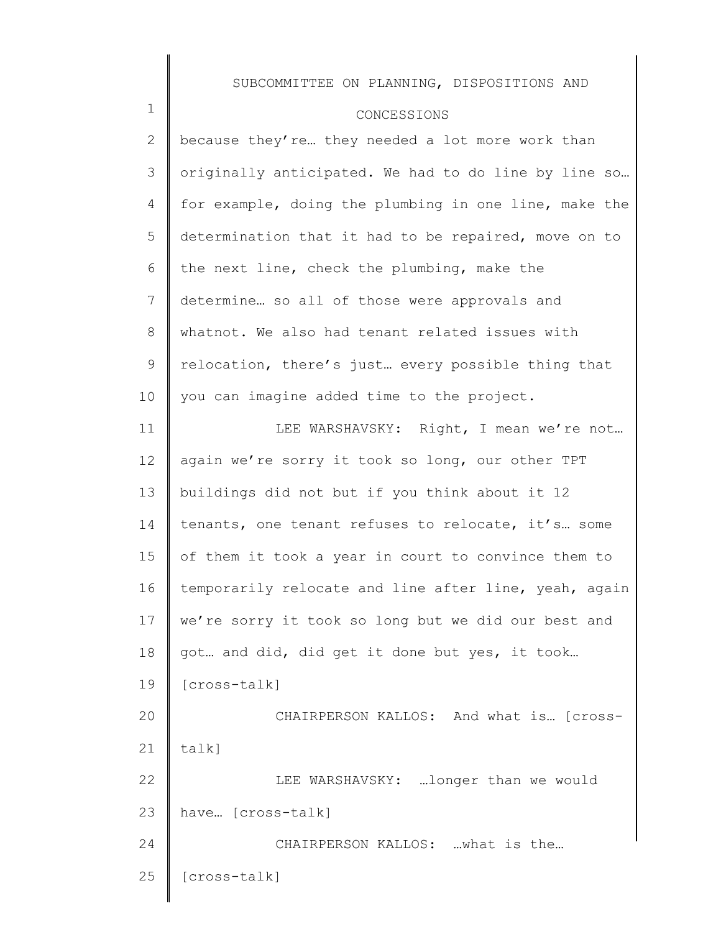### CONCESSIONS

1

2 3 4 5 6 7 8 9 10 because they're... they needed a lot more work than originally anticipated. We had to do line by line so… for example, doing the plumbing in one line, make the determination that it had to be repaired, move on to the next line, check the plumbing, make the determine… so all of those were approvals and whatnot. We also had tenant related issues with relocation, there's just… every possible thing that you can imagine added time to the project.

11 12 13 14 15 16 17 18 19 20 21 22 23 24 25 LEE WARSHAVSKY: Right, I mean we're not… again we're sorry it took so long, our other TPT buildings did not but if you think about it 12 tenants, one tenant refuses to relocate, it's… some of them it took a year in court to convince them to temporarily relocate and line after line, yeah, again we're sorry it took so long but we did our best and got… and did, did get it done but yes, it took… [cross-talk] CHAIRPERSON KALLOS: And what is… [crosstalk] LEE WARSHAVSKY: …longer than we would have… [cross-talk] CHAIRPERSON KALLOS: …what is the… [cross-talk]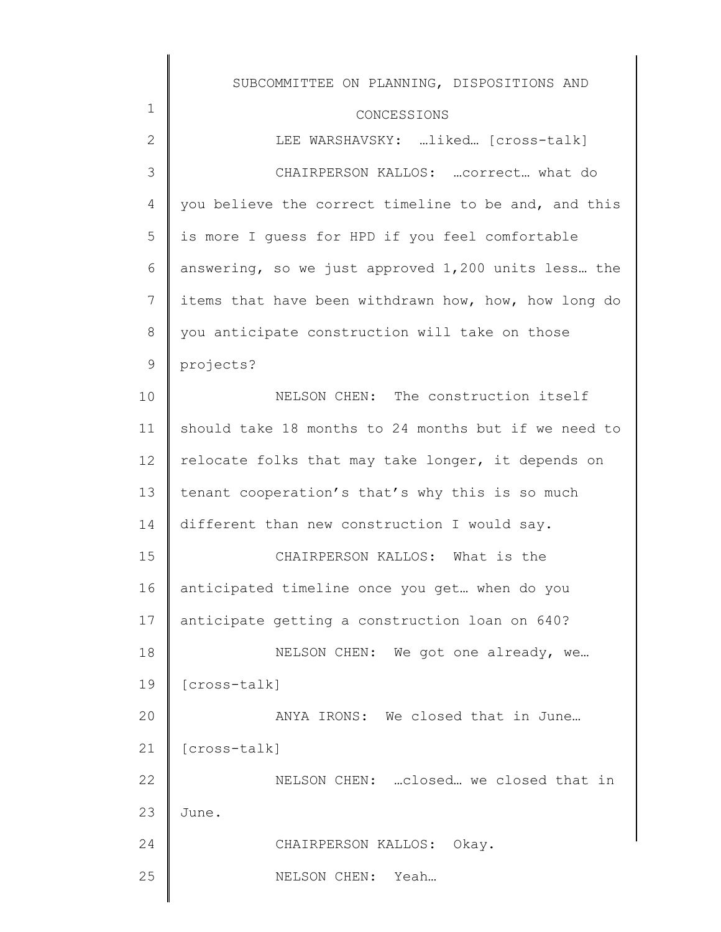| $\mathbf 1$   | SUBCOMMITTEE ON PLANNING, DISPOSITIONS AND           |
|---------------|------------------------------------------------------|
| $\mathbf{2}$  | CONCESSIONS<br>LEE WARSHAVSKY: liked [cross-talk]    |
| 3             | CHAIRPERSON KALLOS:  correct what do                 |
| 4             | you believe the correct timeline to be and, and this |
| 5             | is more I guess for HPD if you feel comfortable      |
| 6             | answering, so we just approved 1,200 units less the  |
|               |                                                      |
| 7             | items that have been withdrawn how, how, how long do |
| $8\,$         | you anticipate construction will take on those       |
| $\mathcal{G}$ | projects?                                            |
| 10            | NELSON CHEN: The construction itself                 |
| 11            | should take 18 months to 24 months but if we need to |
| 12            | relocate folks that may take longer, it depends on   |
| 13            | tenant cooperation's that's why this is so much      |
| 14            | different than new construction I would say.         |
| 15            | CHAIRPERSON KALLOS: What is the                      |
| 16            | anticipated timeline once you get when do you        |
| 17            | anticipate getting a construction loan on 640?       |
| 18            | NELSON CHEN: We got one already, we                  |
| 19            | [cross-talk]                                         |
| 20            | ANYA IRONS: We closed that in June                   |
| 21            | [cross-talk]                                         |
| 22            | NELSON CHEN:  closed we closed that in               |
| 23            | June.                                                |
| 24            | CHAIRPERSON KALLOS: Okay.                            |
| 25            | NELSON CHEN:<br>Yeah                                 |
|               |                                                      |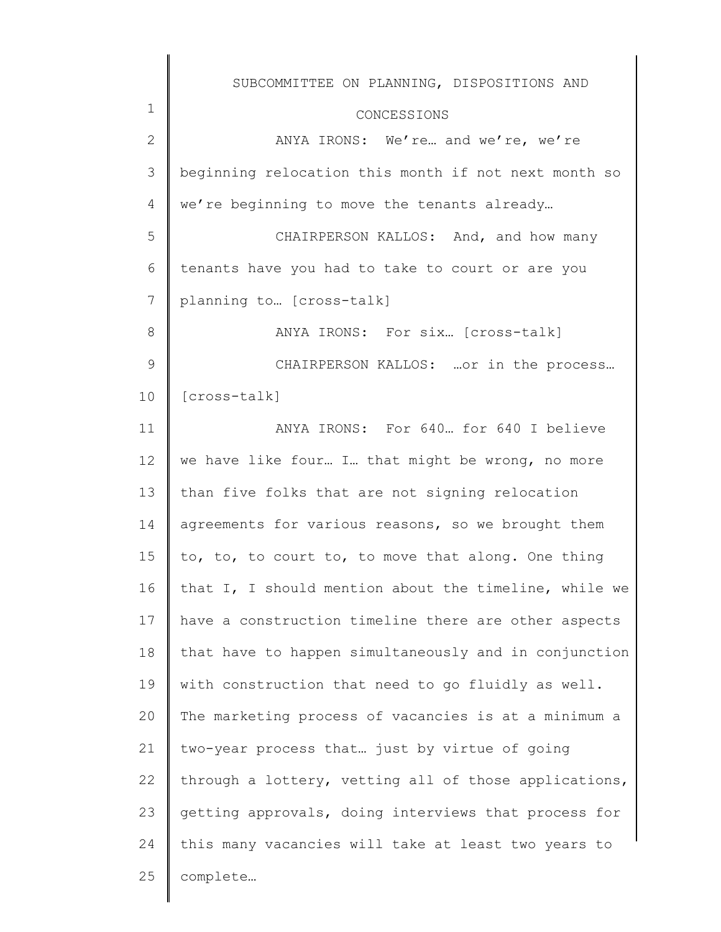|              | SUBCOMMITTEE ON PLANNING, DISPOSITIONS AND            |
|--------------|-------------------------------------------------------|
| 1            | CONCESSIONS                                           |
| $\mathbf{2}$ | ANYA IRONS: We're and we're, we're                    |
| 3            | beginning relocation this month if not next month so  |
| 4            | we're beginning to move the tenants already           |
| 5            | CHAIRPERSON KALLOS: And, and how many                 |
| 6            | tenants have you had to take to court or are you      |
| 7            | planning to  [cross-talk]                             |
| 8            | ANYA IRONS: For six [cross-talk]                      |
| 9            | CHAIRPERSON KALLOS:  or in the process                |
| 10           | [cross-talk]                                          |
| 11           | ANYA IRONS: For 640 for 640 I believe                 |
| 12           | we have like four I that might be wrong, no more      |
| 13           | than five folks that are not signing relocation       |
| 14           | agreements for various reasons, so we brought them    |
| 15           | to, to, to court to, to move that along. One thing    |
| 16           | that I, I should mention about the timeline, while we |
| 17           | have a construction timeline there are other aspects  |
| 18           | that have to happen simultaneously and in conjunction |
| 19           | with construction that need to go fluidly as well.    |
| 20           | The marketing process of vacancies is at a minimum a  |
| 21           | two-year process that just by virtue of going         |
| 22           | through a lottery, vetting all of those applications, |
| 23           | getting approvals, doing interviews that process for  |
| 24           | this many vacancies will take at least two years to   |
| 25           | complete                                              |
|              |                                                       |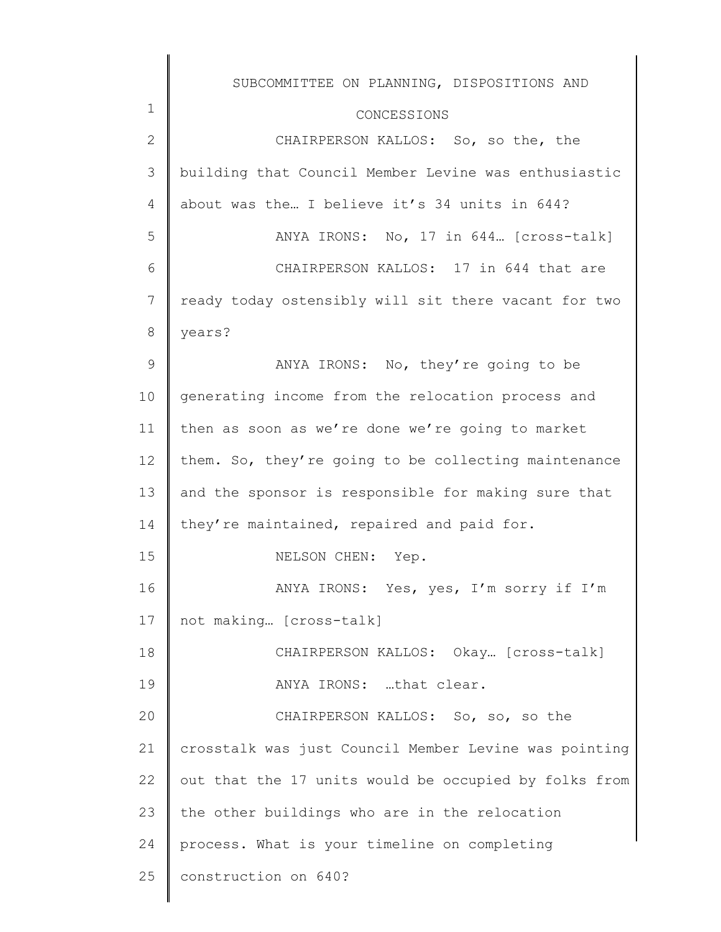|              | SUBCOMMITTEE ON PLANNING, DISPOSITIONS AND            |
|--------------|-------------------------------------------------------|
| $\mathbf 1$  | CONCESSIONS                                           |
| $\mathbf{2}$ | CHAIRPERSON KALLOS: So, so the, the                   |
| 3            | building that Council Member Levine was enthusiastic  |
| 4            | about was the I believe it's 34 units in 644?         |
| 5            | ANYA IRONS: No, 17 in 644 [cross-talk]                |
| 6            | CHAIRPERSON KALLOS: 17 in 644 that are                |
| 7            | ready today ostensibly will sit there vacant for two  |
| 8            | years?                                                |
| 9            | ANYA IRONS: No, they're going to be                   |
| 10           | generating income from the relocation process and     |
| 11           | then as soon as we're done we're going to market      |
| 12           | them. So, they're going to be collecting maintenance  |
| 13           | and the sponsor is responsible for making sure that   |
| 14           | they're maintained, repaired and paid for.            |
| 15           | NELSON CHEN: Yep.                                     |
| 16           | ANYA IRONS: Yes, yes, I'm sorry if I'm                |
| 17           | not making [cross-talk]                               |
| 18           | CHAIRPERSON KALLOS: Okay [cross-talk]                 |
| 19           | ANYA IRONS: that clear.                               |
| 20           | CHAIRPERSON KALLOS: So, so, so the                    |
| 21           | crosstalk was just Council Member Levine was pointing |
| 22           | out that the 17 units would be occupied by folks from |
| 23           | the other buildings who are in the relocation         |
| 24           | process. What is your timeline on completing          |
| 25           | construction on 640?                                  |
|              |                                                       |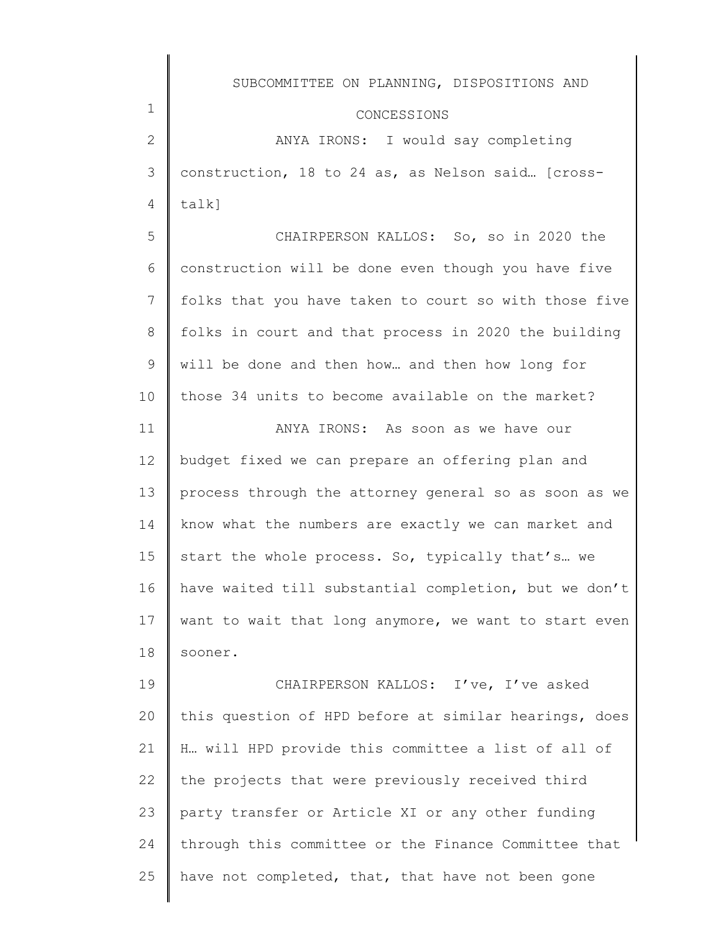|    | SUBCOMMITTEE ON PLANNING, DISPOSITIONS AND            |
|----|-------------------------------------------------------|
| 1  | CONCESSIONS                                           |
| 2  | ANYA IRONS: I would say completing                    |
| 3  | construction, 18 to 24 as, as Nelson said [cross-     |
| 4  | talk]                                                 |
| 5  | CHAIRPERSON KALLOS: So, so in 2020 the                |
| 6  | construction will be done even though you have five   |
| 7  | folks that you have taken to court so with those five |
| 8  | folks in court and that process in 2020 the building  |
| 9  | will be done and then how and then how long for       |
| 10 | those 34 units to become available on the market?     |
| 11 | ANYA IRONS: As soon as we have our                    |
| 12 | budget fixed we can prepare an offering plan and      |
| 13 | process through the attorney general so as soon as we |
| 14 | know what the numbers are exactly we can market and   |
| 15 | start the whole process. So, typically that's we      |
| 16 | have waited till substantial completion, but we don't |
| 17 | want to wait that long anymore, we want to start even |
| 18 | sooner.                                               |
| 19 | CHAIRPERSON KALLOS: I've, I've asked                  |
| 20 | this question of HPD before at similar hearings, does |
| 21 | H will HPD provide this committee a list of all of    |
| 22 | the projects that were previously received third      |
| 23 | party transfer or Article XI or any other funding     |
| 24 | through this committee or the Finance Committee that  |
| 25 | have not completed, that, that have not been gone     |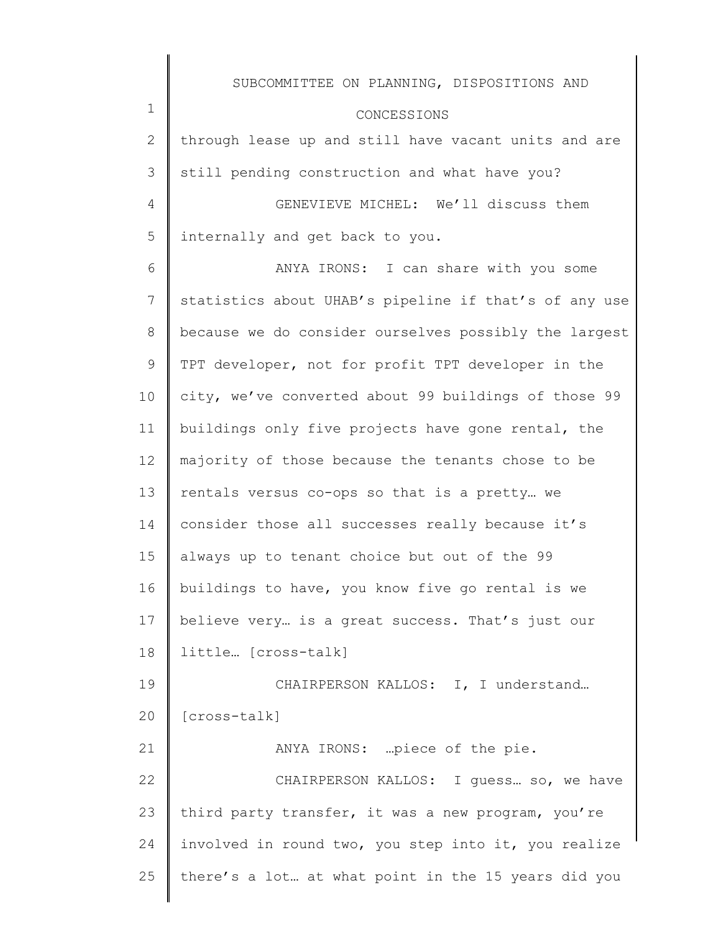|                 | SUBCOMMITTEE ON PLANNING, DISPOSITIONS AND            |
|-----------------|-------------------------------------------------------|
| $\mathbf 1$     | CONCESSIONS                                           |
| $\mathbf{2}$    | through lease up and still have vacant units and are  |
| 3               | still pending construction and what have you?         |
| $\overline{4}$  | GENEVIEVE MICHEL: We'll discuss them                  |
| 5               | internally and get back to you.                       |
| 6               | ANYA IRONS: I can share with you some                 |
| 7               | statistics about UHAB's pipeline if that's of any use |
| 8               | because we do consider ourselves possibly the largest |
| 9               | TPT developer, not for profit TPT developer in the    |
| 10 <sub>o</sub> | city, we've converted about 99 buildings of those 99  |
| 11              | buildings only five projects have gone rental, the    |
| 12              | majority of those because the tenants chose to be     |
| 13              | rentals versus co-ops so that is a pretty we          |
| 14              | consider those all successes really because it's      |
| 15              | always up to tenant choice but out of the 99          |
| 16              | buildings to have, you know five go rental is we      |
| 17              | believe very is a great success. That's just our      |
| 18              | little [cross-talk]                                   |
| 19              | CHAIRPERSON KALLOS: I, I understand                   |
| 20              | [cross-talk]                                          |
| 21              | ANYA IRONS: piece of the pie.                         |
| 22              | CHAIRPERSON KALLOS: I guess so, we have               |
| 23              | third party transfer, it was a new program, you're    |
| 24              | involved in round two, you step into it, you realize  |
| 25              | there's a lot at what point in the 15 years did you   |
|                 |                                                       |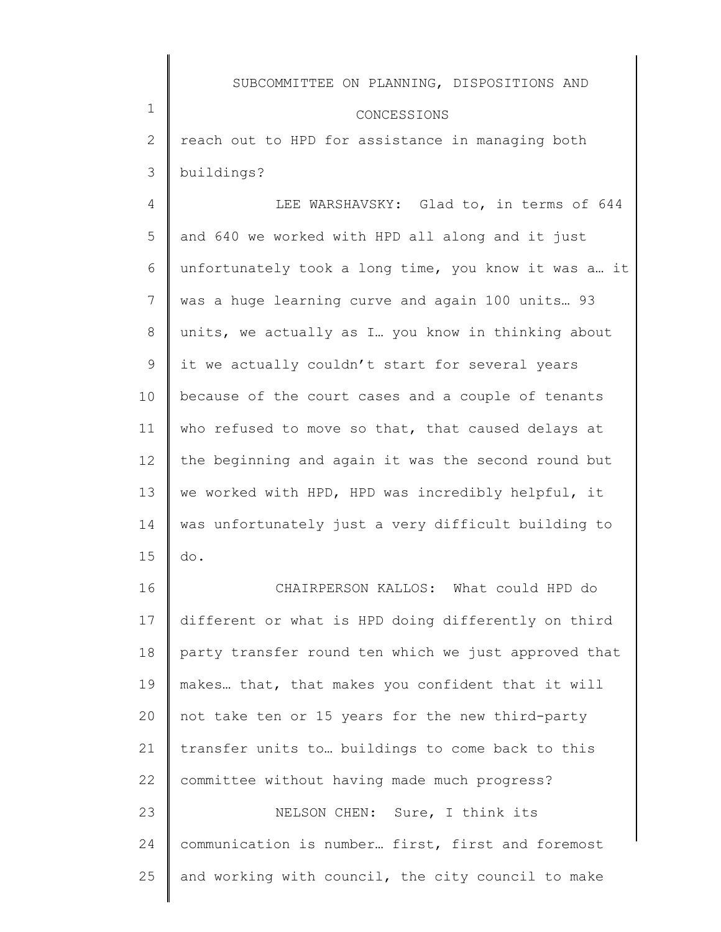#### CONCESSIONS

2 3 reach out to HPD for assistance in managing both buildings?

1

4 5 6 7 8 9 10 11 12 13 14 15 LEE WARSHAVSKY: Glad to, in terms of 644 and 640 we worked with HPD all along and it just unfortunately took a long time, you know it was a… it was a huge learning curve and again 100 units… 93 units, we actually as I… you know in thinking about it we actually couldn't start for several years because of the court cases and a couple of tenants who refused to move so that, that caused delays at the beginning and again it was the second round but we worked with HPD, HPD was incredibly helpful, it was unfortunately just a very difficult building to do.

16 17 18 19 20 21 22 23 24 25 CHAIRPERSON KALLOS: What could HPD do different or what is HPD doing differently on third party transfer round ten which we just approved that makes… that, that makes you confident that it will not take ten or 15 years for the new third-party transfer units to… buildings to come back to this committee without having made much progress? NELSON CHEN: Sure, I think its communication is number… first, first and foremost and working with council, the city council to make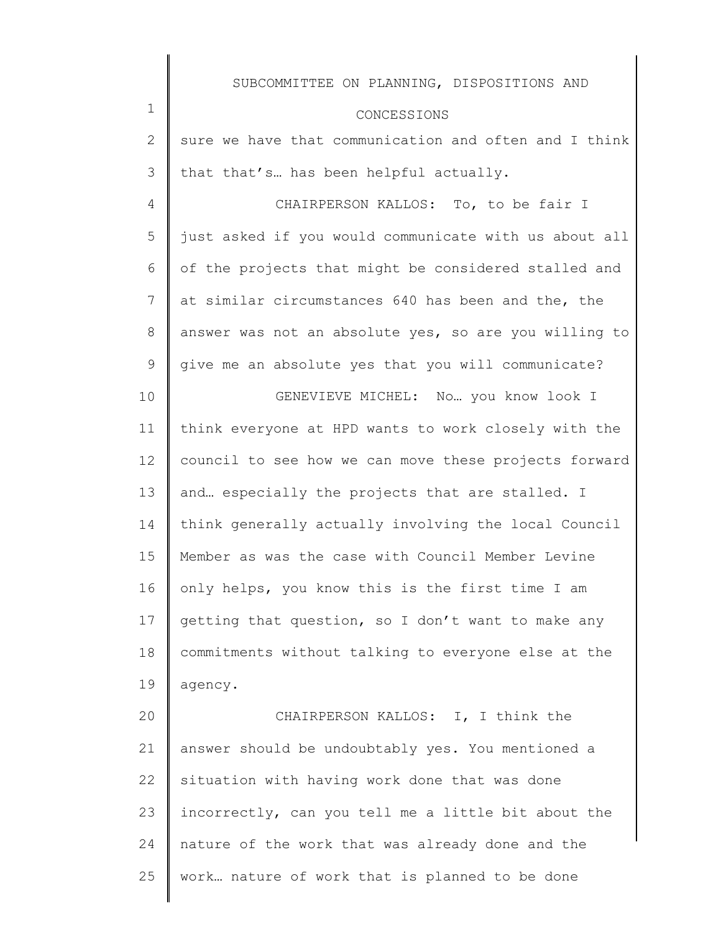|               | SUBCOMMITTEE ON PLANNING, DISPOSITIONS AND            |
|---------------|-------------------------------------------------------|
| $\mathbf 1$   | CONCESSIONS                                           |
| $\mathbf{2}$  | sure we have that communication and often and I think |
| 3             | that that's has been helpful actually.                |
| 4             | CHAIRPERSON KALLOS: To, to be fair I                  |
| 5             | just asked if you would communicate with us about all |
| 6             | of the projects that might be considered stalled and  |
| 7             | at similar circumstances 640 has been and the, the    |
| 8             | answer was not an absolute yes, so are you willing to |
| $\mathcal{G}$ | give me an absolute yes that you will communicate?    |
| 10            | GENEVIEVE MICHEL: No you know look I                  |
| 11            | think everyone at HPD wants to work closely with the  |
| 12            | council to see how we can move these projects forward |
| 13            | and especially the projects that are stalled. I       |
| 14            | think generally actually involving the local Council  |
| 15            | Member as was the case with Council Member Levine     |
| 16            | only helps, you know this is the first time I am      |
| 17            | getting that question, so I don't want to make any    |
| 18            | commitments without talking to everyone else at the   |
| 19            | agency.                                               |
| 20            | CHAIRPERSON KALLOS: I, I think the                    |
| 21            | answer should be undoubtably yes. You mentioned a     |
| 22            | situation with having work done that was done         |
| 23            | incorrectly, can you tell me a little bit about the   |
| 24            | nature of the work that was already done and the      |
| 25            | work nature of work that is planned to be done        |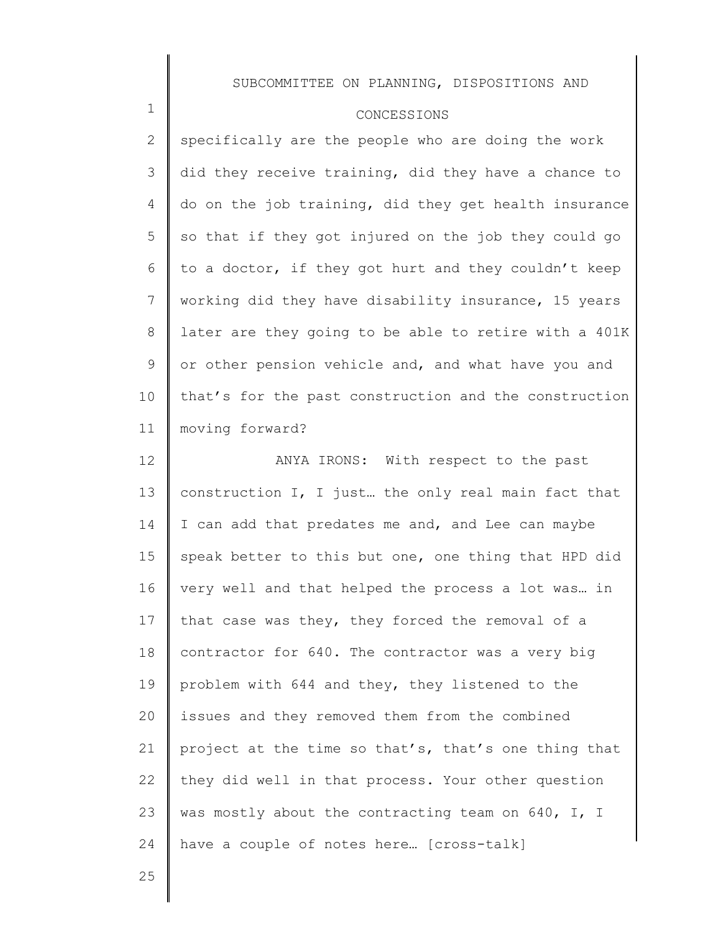### CONCESSIONS

2 3 4 5 6 7 8 9 10 11 specifically are the people who are doing the work did they receive training, did they have a chance to do on the job training, did they get health insurance so that if they got injured on the job they could go to a doctor, if they got hurt and they couldn't keep working did they have disability insurance, 15 years later are they going to be able to retire with a 401K or other pension vehicle and, and what have you and that's for the past construction and the construction moving forward?

12 13 14 15 16 17 18 19 20 21 22 23 24 ANYA IRONS: With respect to the past construction I, I just… the only real main fact that I can add that predates me and, and Lee can maybe speak better to this but one, one thing that HPD did very well and that helped the process a lot was… in that case was they, they forced the removal of a contractor for 640. The contractor was a very big problem with 644 and they, they listened to the issues and they removed them from the combined project at the time so that's, that's one thing that they did well in that process. Your other question was mostly about the contracting team on 640, I, I have a couple of notes here… [cross-talk]

25

1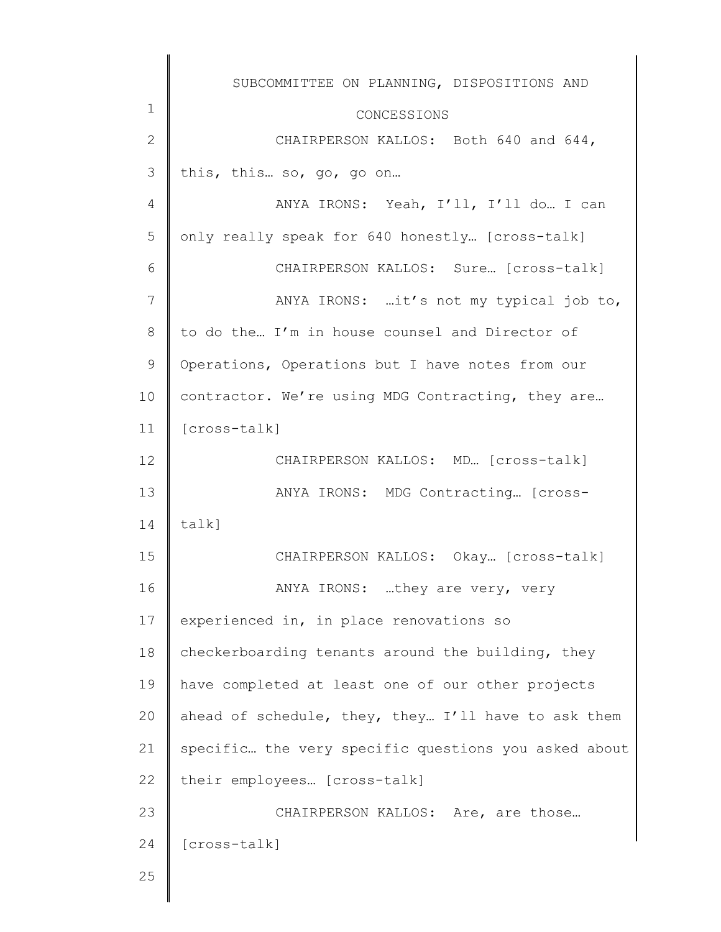|              | SUBCOMMITTEE ON PLANNING, DISPOSITIONS AND           |
|--------------|------------------------------------------------------|
| 1            | CONCESSIONS                                          |
| $\mathbf{2}$ | CHAIRPERSON KALLOS: Both 640 and 644,                |
| 3            | this, this so, go, go on                             |
| 4            | ANYA IRONS: Yeah, I'll, I'll do I can                |
| 5            | only really speak for 640 honestly [cross-talk]      |
| 6            | CHAIRPERSON KALLOS: Sure [cross-talk]                |
| 7            | ANYA IRONS: it's not my typical job to,              |
| 8            | to do the I'm in house counsel and Director of       |
| 9            | Operations, Operations but I have notes from our     |
| 10           | contractor. We're using MDG Contracting, they are    |
| 11           | [cross-talk]                                         |
| 12           | CHAIRPERSON KALLOS: MD [cross-talk]                  |
| 13           | ANYA IRONS: MDG Contracting [cross-                  |
| 14           | talk]                                                |
| 15           | CHAIRPERSON KALLOS: Okay [cross-talk]                |
| 16           | ANYA IRONS: they are very, very                      |
| 17           | experienced in, in place renovations so              |
| 18           | checkerboarding tenants around the building, they    |
| 19           | have completed at least one of our other projects    |
| 20           | ahead of schedule, they, they I'll have to ask them  |
| 21           | specific the very specific questions you asked about |
| 22           | their employees [cross-talk]                         |
| 23           | CHAIRPERSON KALLOS: Are, are those                   |
| 24           | [cross-talk]                                         |
| 25           |                                                      |
|              |                                                      |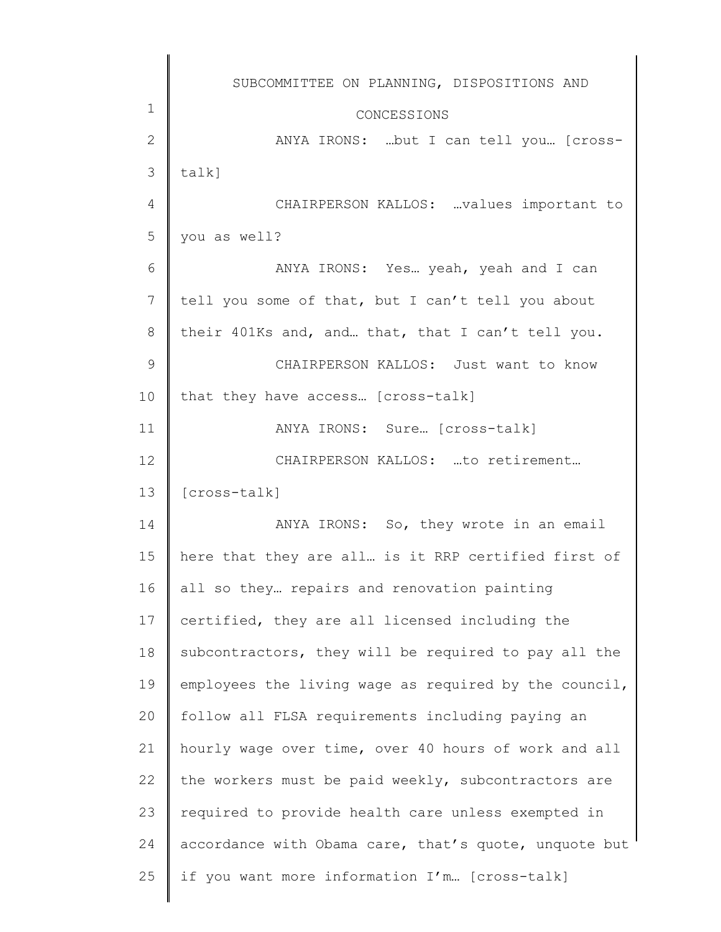|                | SUBCOMMITTEE ON PLANNING, DISPOSITIONS AND            |
|----------------|-------------------------------------------------------|
| $\mathbf 1$    | CONCESSIONS                                           |
| $\mathbf{2}$   | ANYA IRONS: but I can tell you [cross-                |
| 3              | talk]                                                 |
| 4              | CHAIRPERSON KALLOS: values important to               |
| 5              | you as well?                                          |
| 6              | ANYA IRONS: Yes yeah, yeah and I can                  |
| $\overline{7}$ | tell you some of that, but I can't tell you about     |
| 8              | their 401Ks and, and that, that I can't tell you.     |
| 9              | CHAIRPERSON KALLOS: Just want to know                 |
| 10             | that they have access [cross-talk]                    |
| 11             | ANYA IRONS: Sure [cross-talk]                         |
| 12             | CHAIRPERSON KALLOS: to retirement                     |
| 13             | [cross-talk]                                          |
| 14             | ANYA IRONS: So, they wrote in an email                |
| 15             | here that they are all is it RRP certified first of   |
| 16             | all so they repairs and renovation painting           |
| 17             | certified, they are all licensed including the        |
| 18             | subcontractors, they will be required to pay all the  |
| 19             | employees the living wage as required by the council, |
| 20             | follow all FLSA requirements including paying an      |
| 21             | hourly wage over time, over 40 hours of work and all  |
| 22             | the workers must be paid weekly, subcontractors are   |
| 23             | required to provide health care unless exempted in    |
| 24             | accordance with Obama care, that's quote, unquote but |
| 25             | if you want more information I'm [cross-talk]         |
|                |                                                       |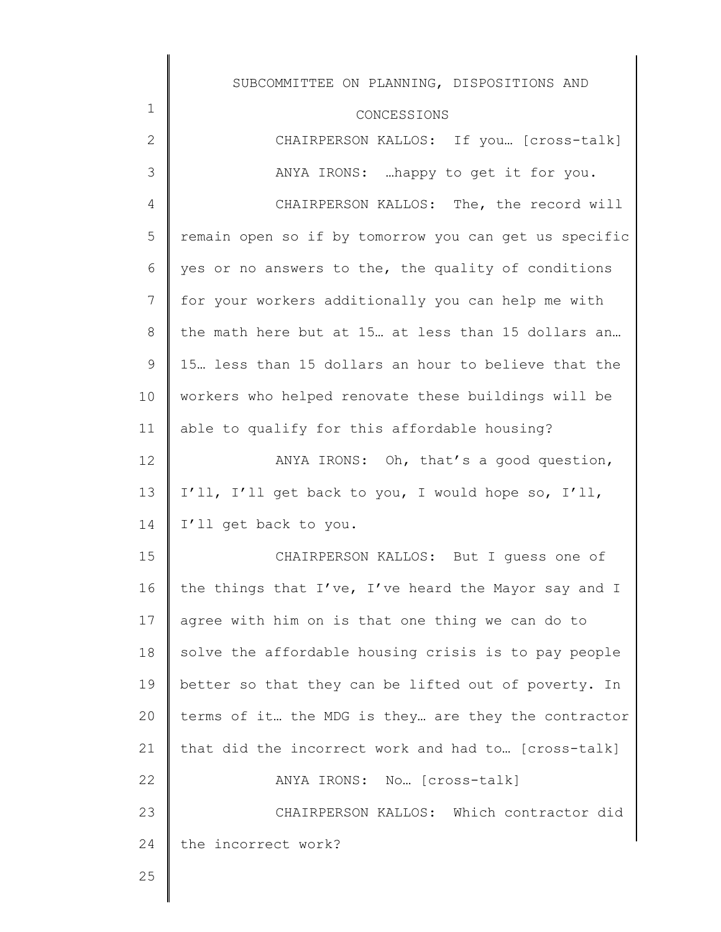|              | SUBCOMMITTEE ON PLANNING, DISPOSITIONS AND            |
|--------------|-------------------------------------------------------|
| 1            | CONCESSIONS                                           |
| $\mathbf{2}$ | CHAIRPERSON KALLOS: If you [cross-talk]               |
| 3            | ANYA IRONS:  happy to get it for you.                 |
| 4            | CHAIRPERSON KALLOS: The, the record will              |
| 5            | remain open so if by tomorrow you can get us specific |
| 6            | yes or no answers to the, the quality of conditions   |
| 7            | for your workers additionally you can help me with    |
| 8            | the math here but at 15 at less than 15 dollars an    |
| 9            | 15. less than 15 dollars an hour to believe that the  |
| 10           | workers who helped renovate these buildings will be   |
| 11           | able to qualify for this affordable housing?          |
| 12           | ANYA IRONS: Oh, that's a good question,               |
| 13           | I'll, I'll get back to you, I would hope so, I'll,    |
| 14           | I'll get back to you.                                 |
| 15           | CHAIRPERSON KALLOS: But I quess one of                |
| 16           | the things that I've, I've heard the Mayor say and I  |
| 17           | agree with him on is that one thing we can do to      |
| 18           | solve the affordable housing crisis is to pay people  |
| 19           | better so that they can be lifted out of poverty. In  |
| 20           | terms of it the MDG is they are they the contractor   |
| 21           | that did the incorrect work and had to [cross-talk]   |
| 22           | ANYA IRONS: No [Cross-talk]                           |
| 23           | CHAIRPERSON KALLOS: Which contractor did              |
| 24           | the incorrect work?                                   |
| 25           |                                                       |

25

∥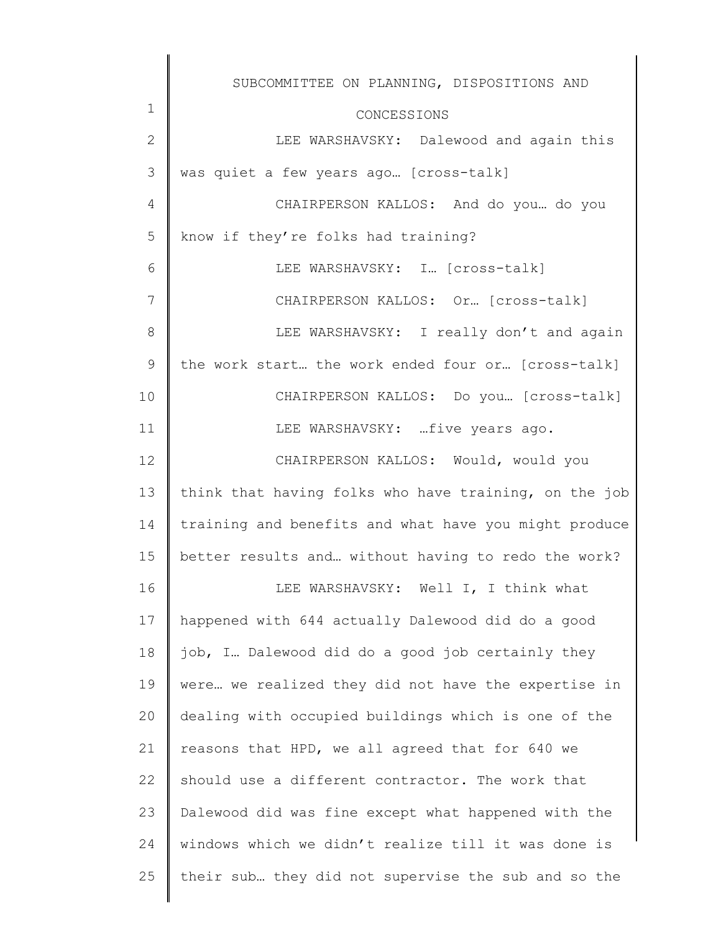|               | SUBCOMMITTEE ON PLANNING, DISPOSITIONS AND            |
|---------------|-------------------------------------------------------|
| $\mathbf 1$   | CONCESSIONS                                           |
| $\mathbf{2}$  | LEE WARSHAVSKY: Dalewood and again this               |
| 3             | was quiet a few years ago [cross-talk]                |
| 4             | CHAIRPERSON KALLOS: And do you do you                 |
| 5             | know if they're folks had training?                   |
| 6             | LEE WARSHAVSKY: I [Cross-talk]                        |
| 7             | CHAIRPERSON KALLOS: Or [cross-talk]                   |
| 8             | LEE WARSHAVSKY: I really don't and again              |
| $\mathcal{G}$ | the work start the work ended four or [cross-talk]    |
| 10            | CHAIRPERSON KALLOS: Do you [cross-talk]               |
| 11            | LEE WARSHAVSKY: five years ago.                       |
| 12            | CHAIRPERSON KALLOS: Would, would you                  |
| 13            | think that having folks who have training, on the job |
| 14            | training and benefits and what have you might produce |
| 15            | better results and without having to redo the work?   |
| 16            | LEE WARSHAVSKY: Well I, I think what                  |
| 17            | happened with 644 actually Dalewood did do a good     |
| 18            | job, I Dalewood did do a good job certainly they      |
| 19            | were we realized they did not have the expertise in   |
| 20            | dealing with occupied buildings which is one of the   |
| 21            | reasons that HPD, we all agreed that for 640 we       |
| 22            | should use a different contractor. The work that      |
| 23            | Dalewood did was fine except what happened with the   |
| 24            | windows which we didn't realize till it was done is   |
| 25            | their sub they did not supervise the sub and so the   |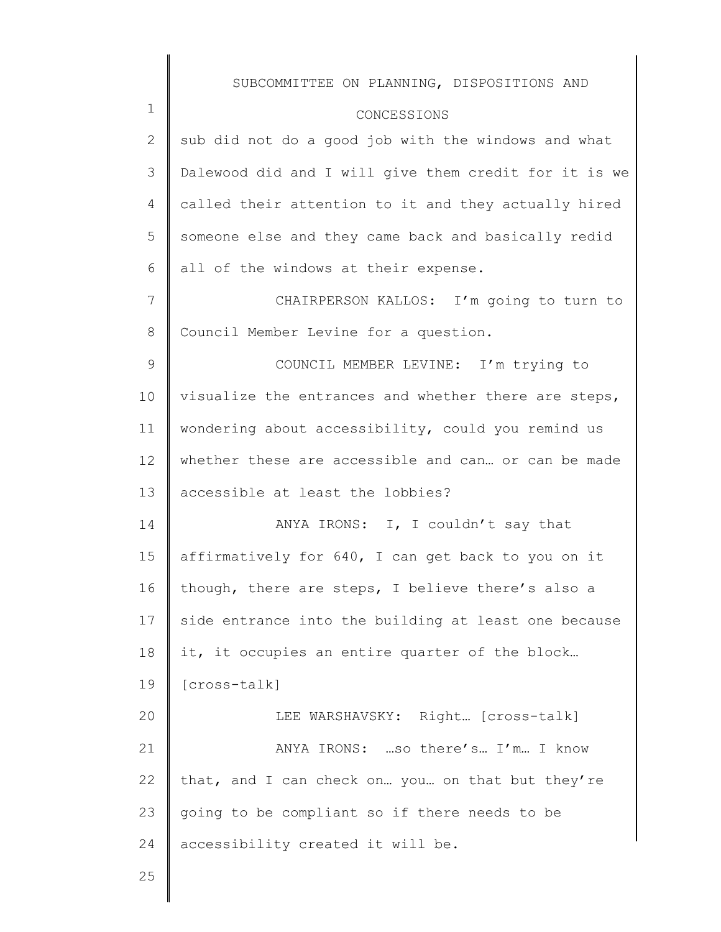|               | SUBCOMMITTEE ON PLANNING, DISPOSITIONS AND            |
|---------------|-------------------------------------------------------|
| $\mathbf 1$   | CONCESSIONS                                           |
| $\mathbf{2}$  | sub did not do a good job with the windows and what   |
| 3             | Dalewood did and I will give them credit for it is we |
| 4             | called their attention to it and they actually hired  |
| 5             | someone else and they came back and basically redid   |
| 6             | all of the windows at their expense.                  |
| 7             | CHAIRPERSON KALLOS: I'm going to turn to              |
| $8\,$         | Council Member Levine for a question.                 |
| $\mathcal{G}$ | COUNCIL MEMBER LEVINE: I'm trying to                  |
| 10            | visualize the entrances and whether there are steps,  |
| 11            | wondering about accessibility, could you remind us    |
| 12            | whether these are accessible and can or can be made   |
| 13            | accessible at least the lobbies?                      |
| 14            | ANYA IRONS: I, I couldn't say that                    |
| 15            | affirmatively for 640, I can get back to you on it    |
| 16            | though, there are steps, I believe there's also a     |
| 17            | side entrance into the building at least one because  |
| 18            | it, it occupies an entire quarter of the block        |
| 19            | [cross-talk]                                          |
| 20            | LEE WARSHAVSKY: Right [Cross-talk]                    |
| 21            | ANYA IRONS:  so there's I'm I know                    |
| 22            | that, and I can check on you on that but they're      |
| 23            | going to be compliant so if there needs to be         |
| 24            | accessibility created it will be.                     |
| 25            |                                                       |
|               |                                                       |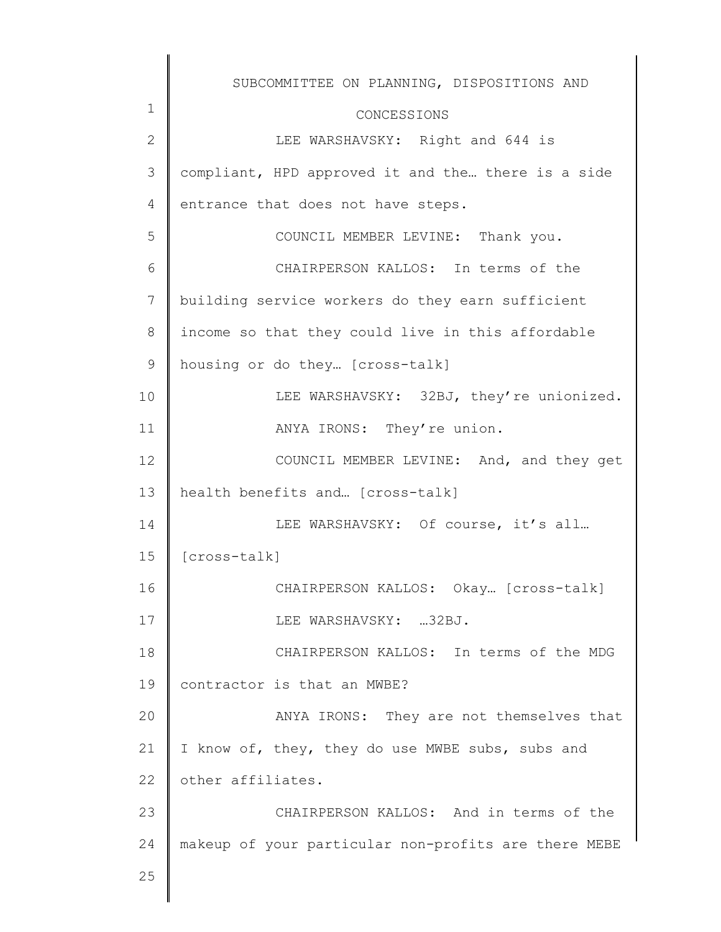|              | SUBCOMMITTEE ON PLANNING, DISPOSITIONS AND           |
|--------------|------------------------------------------------------|
| $\mathbf 1$  | CONCESSIONS                                          |
| $\mathbf{2}$ | LEE WARSHAVSKY: Right and 644 is                     |
| 3            | compliant, HPD approved it and the there is a side   |
| 4            | entrance that does not have steps.                   |
| 5            | COUNCIL MEMBER LEVINE: Thank you.                    |
| 6            | CHAIRPERSON KALLOS: In terms of the                  |
| 7            | building service workers do they earn sufficient     |
| 8            | income so that they could live in this affordable    |
| 9            | housing or do they [cross-talk]                      |
| 10           | LEE WARSHAVSKY: 32BJ, they're unionized.             |
| 11           | ANYA IRONS: They're union.                           |
| 12           | COUNCIL MEMBER LEVINE: And, and they get             |
| 13           | health benefits and [cross-talk]                     |
| 14           | LEE WARSHAVSKY: Of course, it's all                  |
| 15           | [cross-talk]                                         |
| 16           | CHAIRPERSON KALLOS: Okay [Cross-talk]                |
| 17           | LEE WARSHAVSKY: 32BJ.                                |
| 18           | CHAIRPERSON KALLOS: In terms of the MDG              |
| 19           | contractor is that an MWBE?                          |
| 20           | ANYA IRONS: They are not themselves that             |
| 21           | I know of, they, they do use MWBE subs, subs and     |
| 22           | other affiliates.                                    |
| 23           | CHAIRPERSON KALLOS: And in terms of the              |
| 24           | makeup of your particular non-profits are there MEBE |
| 25           |                                                      |
|              |                                                      |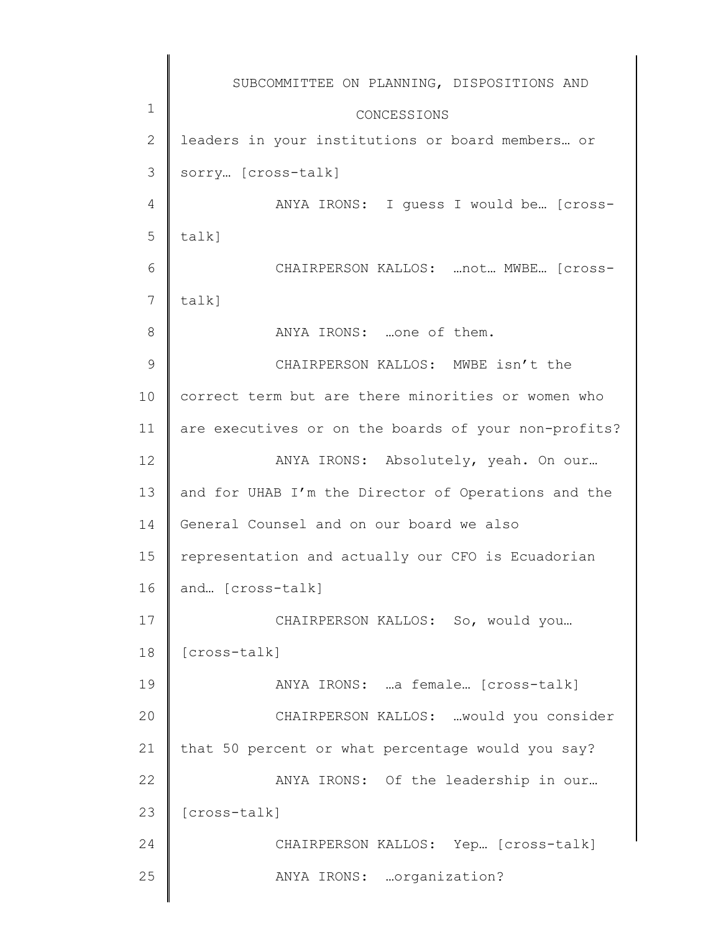1 2 3 4 5 6 7 8 9 10 11 12 13 14 15 16 17 18 19 20 21 22 23 24 25 SUBCOMMITTEE ON PLANNING, DISPOSITIONS AND CONCESSIONS leaders in your institutions or board members... or sorry… [cross-talk] ANYA IRONS: I guess I would be… [crosstalk] CHAIRPERSON KALLOS: …not… MWBE… [crosstalk] ANYA IRONS: …one of them. CHAIRPERSON KALLOS: MWBE isn't the correct term but are there minorities or women who are executives or on the boards of your non-profits? ANYA IRONS: Absolutely, yeah. On our… and for UHAB I'm the Director of Operations and the General Counsel and on our board we also representation and actually our CFO is Ecuadorian and… [cross-talk] CHAIRPERSON KALLOS: So, would you… [cross-talk] ANYA IRONS: …a female… [cross-talk] CHAIRPERSON KALLOS: …would you consider that 50 percent or what percentage would you say? ANYA IRONS: Of the leadership in our… [cross-talk] CHAIRPERSON KALLOS: Yep… [cross-talk] ANYA IRONS: …organization?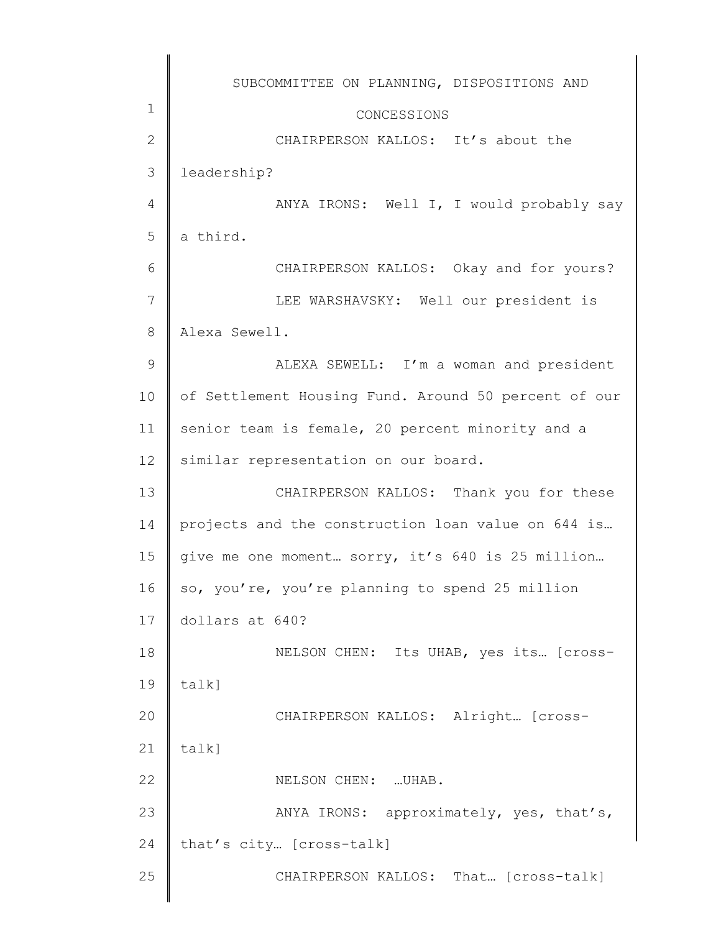|                | SUBCOMMITTEE ON PLANNING, DISPOSITIONS AND           |
|----------------|------------------------------------------------------|
| $1\,$          |                                                      |
| $\mathbf{2}$   | CONCESSIONS<br>CHAIRPERSON KALLOS: It's about the    |
| $\mathcal{S}$  | leadership?                                          |
| $\overline{4}$ | ANYA IRONS: Well I, I would probably say             |
| 5              | a third.                                             |
| 6              |                                                      |
|                | CHAIRPERSON KALLOS: Okay and for yours?              |
| $\overline{7}$ | LEE WARSHAVSKY: Well our president is                |
| $\,8\,$        | Alexa Sewell.                                        |
| 9              | ALEXA SEWELL: I'm a woman and president              |
| 10             | of Settlement Housing Fund. Around 50 percent of our |
| 11             | senior team is female, 20 percent minority and a     |
| 12             | similar representation on our board.                 |
| 13             | CHAIRPERSON KALLOS: Thank you for these              |
| 14             | projects and the construction loan value on 644 is   |
| 15             | give me one moment sorry, it's 640 is 25 million     |
| 16             | so, you're, you're planning to spend 25 million      |
| 17             | dollars at 640?                                      |
| 18             | NELSON CHEN: Its UHAB, yes its [cross-               |
| 19             | talk]                                                |
| 20             | CHAIRPERSON KALLOS: Alright [cross-                  |
| 21             | talk]                                                |
| 22             | NELSON CHEN:  UHAB.                                  |
| 23             | ANYA IRONS: approximately, yes, that's,              |
| 24             | that's city [cross-talk]                             |
| 25             | CHAIRPERSON KALLOS: That [cross-talk]                |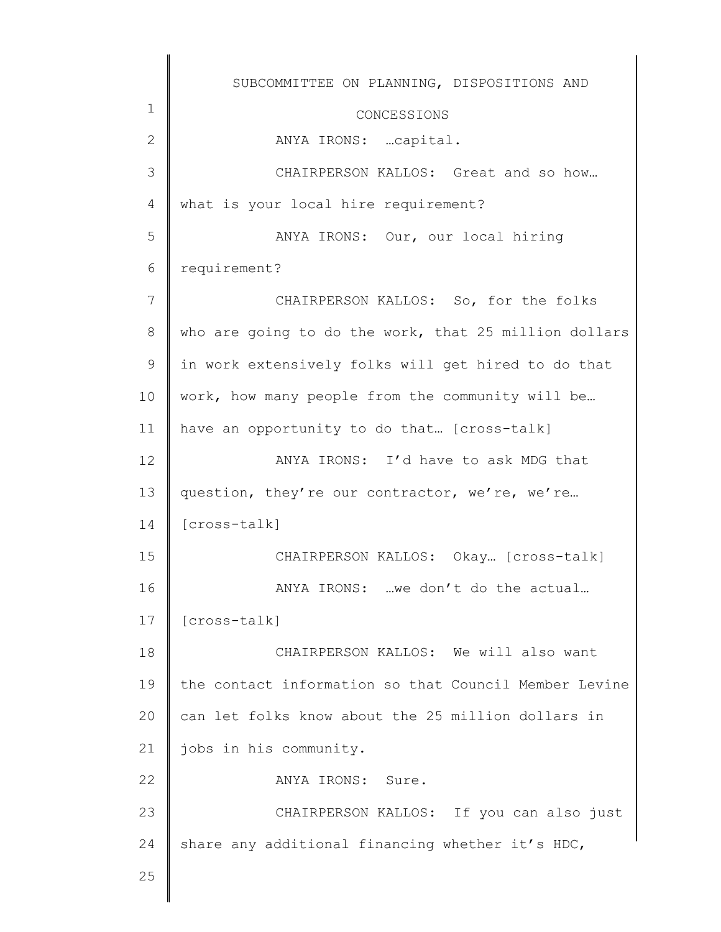1 2 3 4 5 6 7 8 9 10 11 12 13 14 15 16 17 18 19 20 21 22 23 24 25 SUBCOMMITTEE ON PLANNING, DISPOSITIONS AND CONCESSIONS ANYA IRONS: …capital. CHAIRPERSON KALLOS: Great and so how… what is your local hire requirement? ANYA IRONS: Our, our local hiring requirement? CHAIRPERSON KALLOS: So, for the folks who are going to do the work, that 25 million dollars in work extensively folks will get hired to do that work, how many people from the community will be… have an opportunity to do that... [cross-talk] ANYA IRONS: I'd have to ask MDG that question, they're our contractor, we're, we're… [cross-talk] CHAIRPERSON KALLOS: Okay… [cross-talk] ANYA IRONS: …we don't do the actual… [cross-talk] CHAIRPERSON KALLOS: We will also want the contact information so that Council Member Levine can let folks know about the 25 million dollars in jobs in his community. ANYA IRONS: Sure. CHAIRPERSON KALLOS: If you can also just share any additional financing whether it's HDC,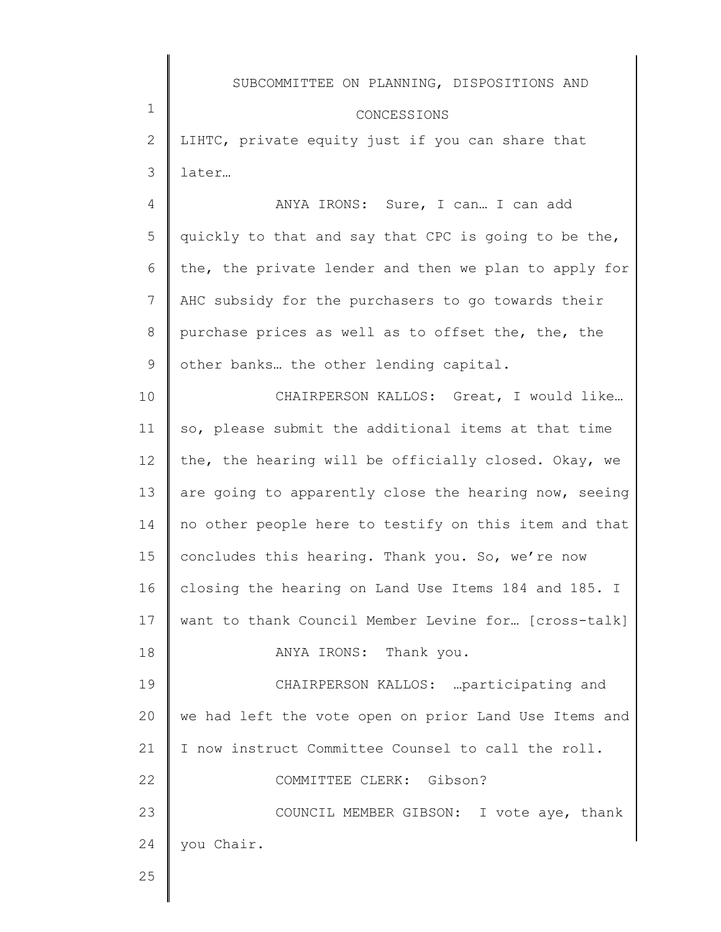### CONCESSIONS

2 3 LIHTC, private equity just if you can share that later…

4 5 6 7 8 9 ANYA IRONS: Sure, I can… I can add quickly to that and say that CPC is going to be the, the, the private lender and then we plan to apply for AHC subsidy for the purchasers to go towards their purchase prices as well as to offset the, the, the other banks… the other lending capital.

10 11 12 13 14 15 16 17 18 19 20 21 22 23 24 CHAIRPERSON KALLOS: Great, I would like… so, please submit the additional items at that time the, the hearing will be officially closed. Okay, we are going to apparently close the hearing now, seeing no other people here to testify on this item and that concludes this hearing. Thank you. So, we're now closing the hearing on Land Use Items 184 and 185. I want to thank Council Member Levine for… [cross-talk] ANYA IRONS: Thank you. CHAIRPERSON KALLOS: …participating and we had left the vote open on prior Land Use Items and I now instruct Committee Counsel to call the roll. COMMITTEE CLERK: Gibson? COUNCIL MEMBER GIBSON: I vote aye, thank you Chair.

25

1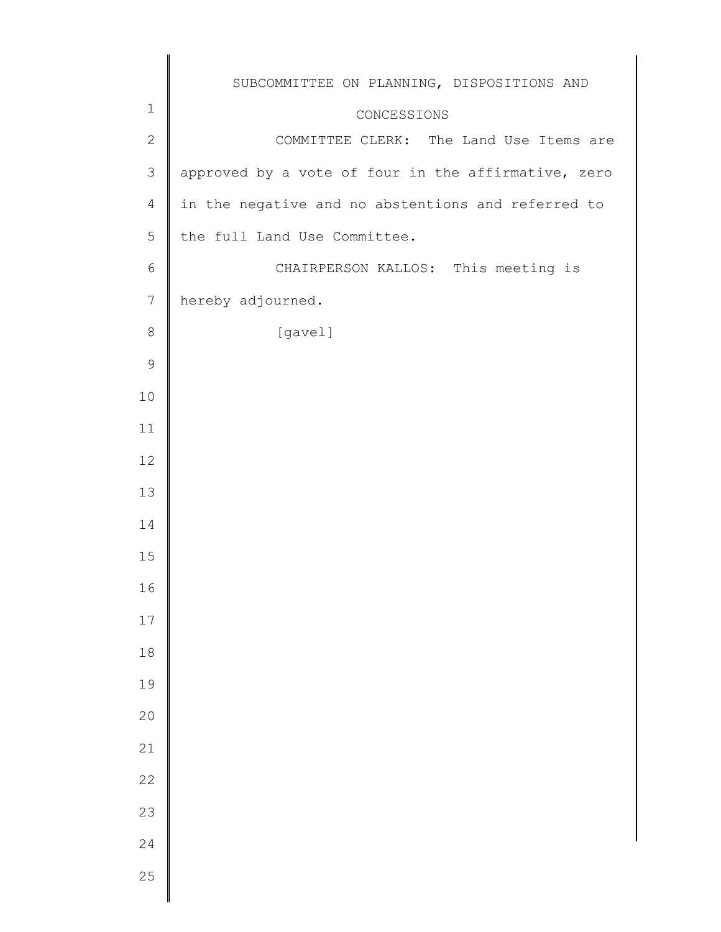|                  | SUBCOMMITTEE ON PLANNING, DISPOSITIONS AND          |
|------------------|-----------------------------------------------------|
| $1\,$            | CONCESSIONS                                         |
| $\mathbf{2}$     | COMMITTEE CLERK: The Land Use Items are             |
| 3                | approved by a vote of four in the affirmative, zero |
| $\overline{4}$   | in the negative and no abstentions and referred to  |
| 5                | the full Land Use Committee.                        |
| 6                | CHAIRPERSON KALLOS: This meeting is                 |
| $\boldsymbol{7}$ | hereby adjourned.                                   |
| 8                | [gavel]                                             |
| $\mathsf 9$      |                                                     |
| 10               |                                                     |
| 11               |                                                     |
| 12               |                                                     |
| 13               |                                                     |
| 14               |                                                     |
| 15               |                                                     |
| 16               |                                                     |
| 17               |                                                     |
| $1\,8$           |                                                     |
| 19               |                                                     |
| 20               |                                                     |
| 21               |                                                     |
| 22               |                                                     |
| 23               |                                                     |
| 24               |                                                     |
|                  |                                                     |
| 25               |                                                     |